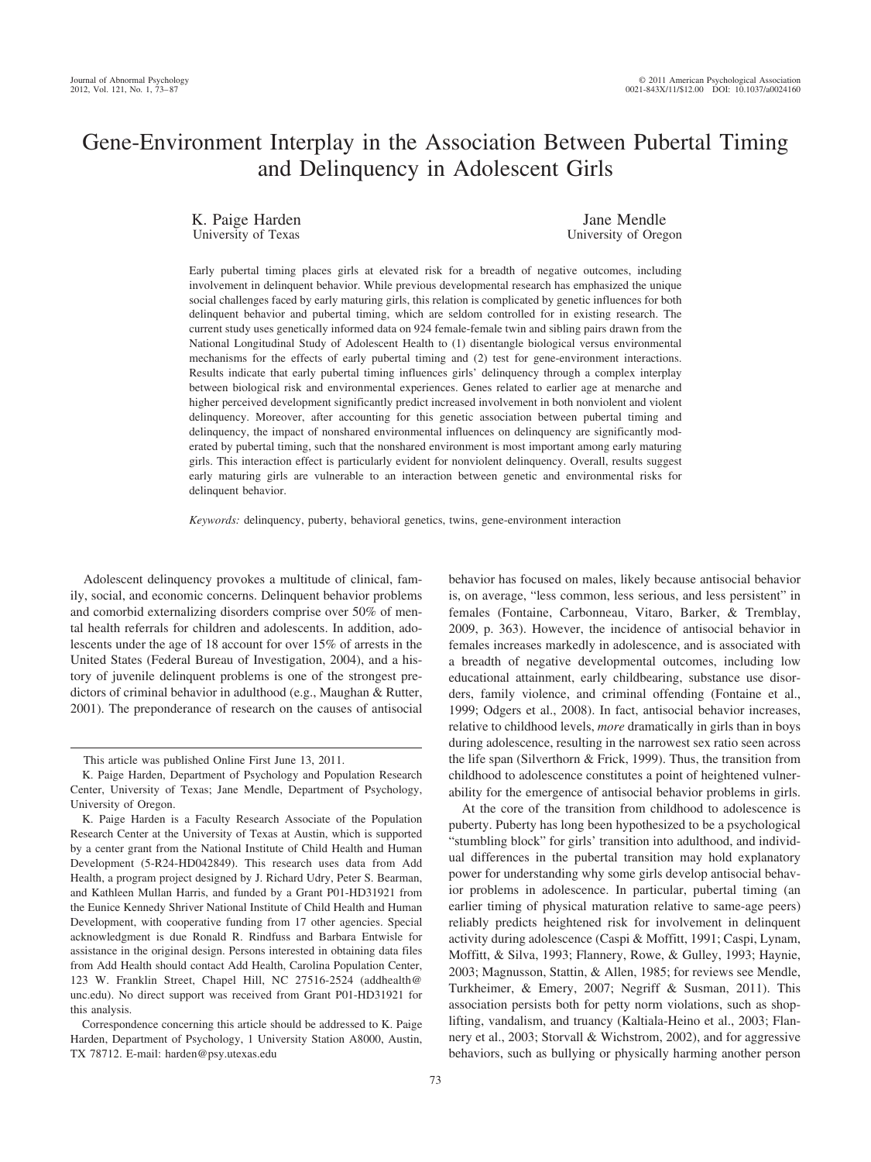# Gene-Environment Interplay in the Association Between Pubertal Timing and Delinquency in Adolescent Girls

K. Paige Harden University of Texas

Jane Mendle University of Oregon

Early pubertal timing places girls at elevated risk for a breadth of negative outcomes, including involvement in delinquent behavior. While previous developmental research has emphasized the unique social challenges faced by early maturing girls, this relation is complicated by genetic influences for both delinquent behavior and pubertal timing, which are seldom controlled for in existing research. The current study uses genetically informed data on 924 female-female twin and sibling pairs drawn from the National Longitudinal Study of Adolescent Health to (1) disentangle biological versus environmental mechanisms for the effects of early pubertal timing and (2) test for gene-environment interactions. Results indicate that early pubertal timing influences girls' delinquency through a complex interplay between biological risk and environmental experiences. Genes related to earlier age at menarche and higher perceived development significantly predict increased involvement in both nonviolent and violent delinquency. Moreover, after accounting for this genetic association between pubertal timing and delinquency, the impact of nonshared environmental influences on delinquency are significantly moderated by pubertal timing, such that the nonshared environment is most important among early maturing girls. This interaction effect is particularly evident for nonviolent delinquency. Overall, results suggest early maturing girls are vulnerable to an interaction between genetic and environmental risks for delinquent behavior.

*Keywords:* delinquency, puberty, behavioral genetics, twins, gene-environment interaction

Adolescent delinquency provokes a multitude of clinical, family, social, and economic concerns. Delinquent behavior problems and comorbid externalizing disorders comprise over 50% of mental health referrals for children and adolescents. In addition, adolescents under the age of 18 account for over 15% of arrests in the United States (Federal Bureau of Investigation, 2004), and a history of juvenile delinquent problems is one of the strongest predictors of criminal behavior in adulthood (e.g., Maughan & Rutter, 2001). The preponderance of research on the causes of antisocial

behavior has focused on males, likely because antisocial behavior is, on average, "less common, less serious, and less persistent" in females (Fontaine, Carbonneau, Vitaro, Barker, & Tremblay, 2009, p. 363). However, the incidence of antisocial behavior in females increases markedly in adolescence, and is associated with a breadth of negative developmental outcomes, including low educational attainment, early childbearing, substance use disorders, family violence, and criminal offending (Fontaine et al., 1999; Odgers et al., 2008). In fact, antisocial behavior increases, relative to childhood levels, *more* dramatically in girls than in boys during adolescence, resulting in the narrowest sex ratio seen across the life span (Silverthorn & Frick, 1999). Thus, the transition from childhood to adolescence constitutes a point of heightened vulnerability for the emergence of antisocial behavior problems in girls.

At the core of the transition from childhood to adolescence is puberty. Puberty has long been hypothesized to be a psychological "stumbling block" for girls' transition into adulthood, and individual differences in the pubertal transition may hold explanatory power for understanding why some girls develop antisocial behavior problems in adolescence. In particular, pubertal timing (an earlier timing of physical maturation relative to same-age peers) reliably predicts heightened risk for involvement in delinquent activity during adolescence (Caspi & Moffitt, 1991; Caspi, Lynam, Moffitt, & Silva, 1993; Flannery, Rowe, & Gulley, 1993; Haynie, 2003; Magnusson, Stattin, & Allen, 1985; for reviews see Mendle, Turkheimer, & Emery, 2007; Negriff & Susman, 2011). This association persists both for petty norm violations, such as shoplifting, vandalism, and truancy (Kaltiala-Heino et al., 2003; Flannery et al., 2003; Storvall & Wichstrom, 2002), and for aggressive behaviors, such as bullying or physically harming another person

This article was published Online First June 13, 2011.

K. Paige Harden, Department of Psychology and Population Research Center, University of Texas; Jane Mendle, Department of Psychology, University of Oregon.

K. Paige Harden is a Faculty Research Associate of the Population Research Center at the University of Texas at Austin, which is supported by a center grant from the National Institute of Child Health and Human Development (5-R24-HD042849). This research uses data from Add Health, a program project designed by J. Richard Udry, Peter S. Bearman, and Kathleen Mullan Harris, and funded by a Grant P01-HD31921 from the Eunice Kennedy Shriver National Institute of Child Health and Human Development, with cooperative funding from 17 other agencies. Special acknowledgment is due Ronald R. Rindfuss and Barbara Entwisle for assistance in the original design. Persons interested in obtaining data files from Add Health should contact Add Health, Carolina Population Center, 123 W. Franklin Street, Chapel Hill, NC 27516-2524 (addhealth@ unc.edu). No direct support was received from Grant P01-HD31921 for this analysis.

Correspondence concerning this article should be addressed to K. Paige Harden, Department of Psychology, 1 University Station A8000, Austin, TX 78712. E-mail: harden@psy.utexas.edu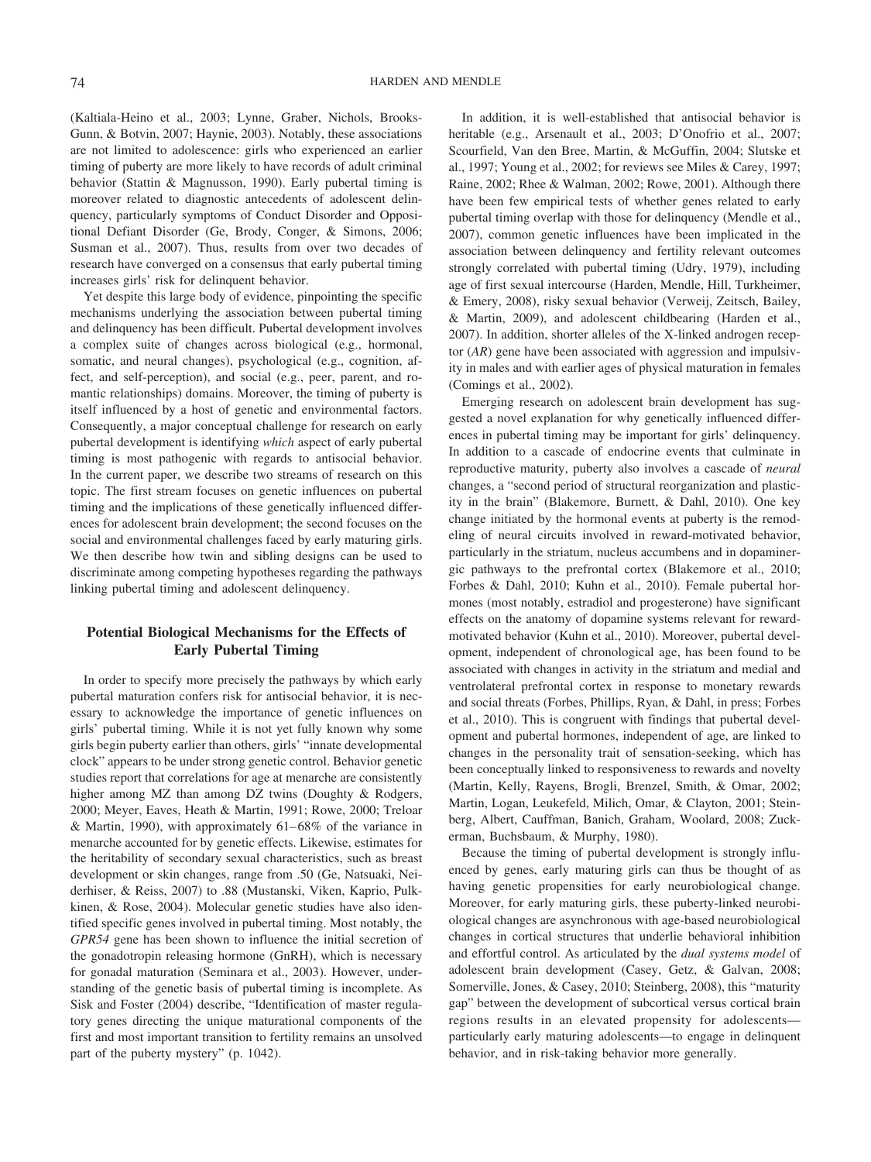(Kaltiala-Heino et al., 2003; Lynne, Graber, Nichols, Brooks-Gunn, & Botvin, 2007; Haynie, 2003). Notably, these associations are not limited to adolescence: girls who experienced an earlier timing of puberty are more likely to have records of adult criminal behavior (Stattin & Magnusson, 1990). Early pubertal timing is moreover related to diagnostic antecedents of adolescent delinquency, particularly symptoms of Conduct Disorder and Oppositional Defiant Disorder (Ge, Brody, Conger, & Simons, 2006; Susman et al., 2007). Thus, results from over two decades of research have converged on a consensus that early pubertal timing increases girls' risk for delinquent behavior.

Yet despite this large body of evidence, pinpointing the specific mechanisms underlying the association between pubertal timing and delinquency has been difficult. Pubertal development involves a complex suite of changes across biological (e.g., hormonal, somatic, and neural changes), psychological (e.g., cognition, affect, and self-perception), and social (e.g., peer, parent, and romantic relationships) domains. Moreover, the timing of puberty is itself influenced by a host of genetic and environmental factors. Consequently, a major conceptual challenge for research on early pubertal development is identifying *which* aspect of early pubertal timing is most pathogenic with regards to antisocial behavior. In the current paper, we describe two streams of research on this topic. The first stream focuses on genetic influences on pubertal timing and the implications of these genetically influenced differences for adolescent brain development; the second focuses on the social and environmental challenges faced by early maturing girls. We then describe how twin and sibling designs can be used to discriminate among competing hypotheses regarding the pathways linking pubertal timing and adolescent delinquency.

## **Potential Biological Mechanisms for the Effects of Early Pubertal Timing**

In order to specify more precisely the pathways by which early pubertal maturation confers risk for antisocial behavior, it is necessary to acknowledge the importance of genetic influences on girls' pubertal timing. While it is not yet fully known why some girls begin puberty earlier than others, girls' "innate developmental clock" appears to be under strong genetic control. Behavior genetic studies report that correlations for age at menarche are consistently higher among MZ than among DZ twins (Doughty & Rodgers, 2000; Meyer, Eaves, Heath & Martin, 1991; Rowe, 2000; Treloar & Martin, 1990), with approximately  $61-68\%$  of the variance in menarche accounted for by genetic effects. Likewise, estimates for the heritability of secondary sexual characteristics, such as breast development or skin changes, range from .50 (Ge, Natsuaki, Neiderhiser, & Reiss, 2007) to .88 (Mustanski, Viken, Kaprio, Pulkkinen, & Rose, 2004). Molecular genetic studies have also identified specific genes involved in pubertal timing. Most notably, the *GPR54* gene has been shown to influence the initial secretion of the gonadotropin releasing hormone (GnRH), which is necessary for gonadal maturation (Seminara et al., 2003). However, understanding of the genetic basis of pubertal timing is incomplete. As Sisk and Foster (2004) describe, "Identification of master regulatory genes directing the unique maturational components of the first and most important transition to fertility remains an unsolved part of the puberty mystery" (p. 1042).

In addition, it is well-established that antisocial behavior is heritable (e.g., Arsenault et al., 2003; D'Onofrio et al., 2007; Scourfield, Van den Bree, Martin, & McGuffin, 2004; Slutske et al., 1997; Young et al., 2002; for reviews see Miles & Carey, 1997; Raine, 2002; Rhee & Walman, 2002; Rowe, 2001). Although there have been few empirical tests of whether genes related to early pubertal timing overlap with those for delinquency (Mendle et al., 2007), common genetic influences have been implicated in the association between delinquency and fertility relevant outcomes strongly correlated with pubertal timing (Udry, 1979), including age of first sexual intercourse (Harden, Mendle, Hill, Turkheimer, & Emery, 2008), risky sexual behavior (Verweij, Zeitsch, Bailey, & Martin, 2009), and adolescent childbearing (Harden et al., 2007). In addition, shorter alleles of the X-linked androgen receptor (*AR*) gene have been associated with aggression and impulsivity in males and with earlier ages of physical maturation in females (Comings et al., 2002).

Emerging research on adolescent brain development has suggested a novel explanation for why genetically influenced differences in pubertal timing may be important for girls' delinquency. In addition to a cascade of endocrine events that culminate in reproductive maturity, puberty also involves a cascade of *neural* changes, a "second period of structural reorganization and plasticity in the brain" (Blakemore, Burnett, & Dahl, 2010). One key change initiated by the hormonal events at puberty is the remodeling of neural circuits involved in reward-motivated behavior, particularly in the striatum, nucleus accumbens and in dopaminergic pathways to the prefrontal cortex (Blakemore et al., 2010; Forbes & Dahl, 2010; Kuhn et al., 2010). Female pubertal hormones (most notably, estradiol and progesterone) have significant effects on the anatomy of dopamine systems relevant for rewardmotivated behavior (Kuhn et al., 2010). Moreover, pubertal development, independent of chronological age, has been found to be associated with changes in activity in the striatum and medial and ventrolateral prefrontal cortex in response to monetary rewards and social threats (Forbes, Phillips, Ryan, & Dahl, in press; Forbes et al., 2010). This is congruent with findings that pubertal development and pubertal hormones, independent of age, are linked to changes in the personality trait of sensation-seeking, which has been conceptually linked to responsiveness to rewards and novelty (Martin, Kelly, Rayens, Brogli, Brenzel, Smith, & Omar, 2002; Martin, Logan, Leukefeld, Milich, Omar, & Clayton, 2001; Steinberg, Albert, Cauffman, Banich, Graham, Woolard, 2008; Zuckerman, Buchsbaum, & Murphy, 1980).

Because the timing of pubertal development is strongly influenced by genes, early maturing girls can thus be thought of as having genetic propensities for early neurobiological change. Moreover, for early maturing girls, these puberty-linked neurobiological changes are asynchronous with age-based neurobiological changes in cortical structures that underlie behavioral inhibition and effortful control. As articulated by the *dual systems model* of adolescent brain development (Casey, Getz, & Galvan, 2008; Somerville, Jones, & Casey, 2010; Steinberg, 2008), this "maturity gap" between the development of subcortical versus cortical brain regions results in an elevated propensity for adolescents particularly early maturing adolescents—to engage in delinquent behavior, and in risk-taking behavior more generally.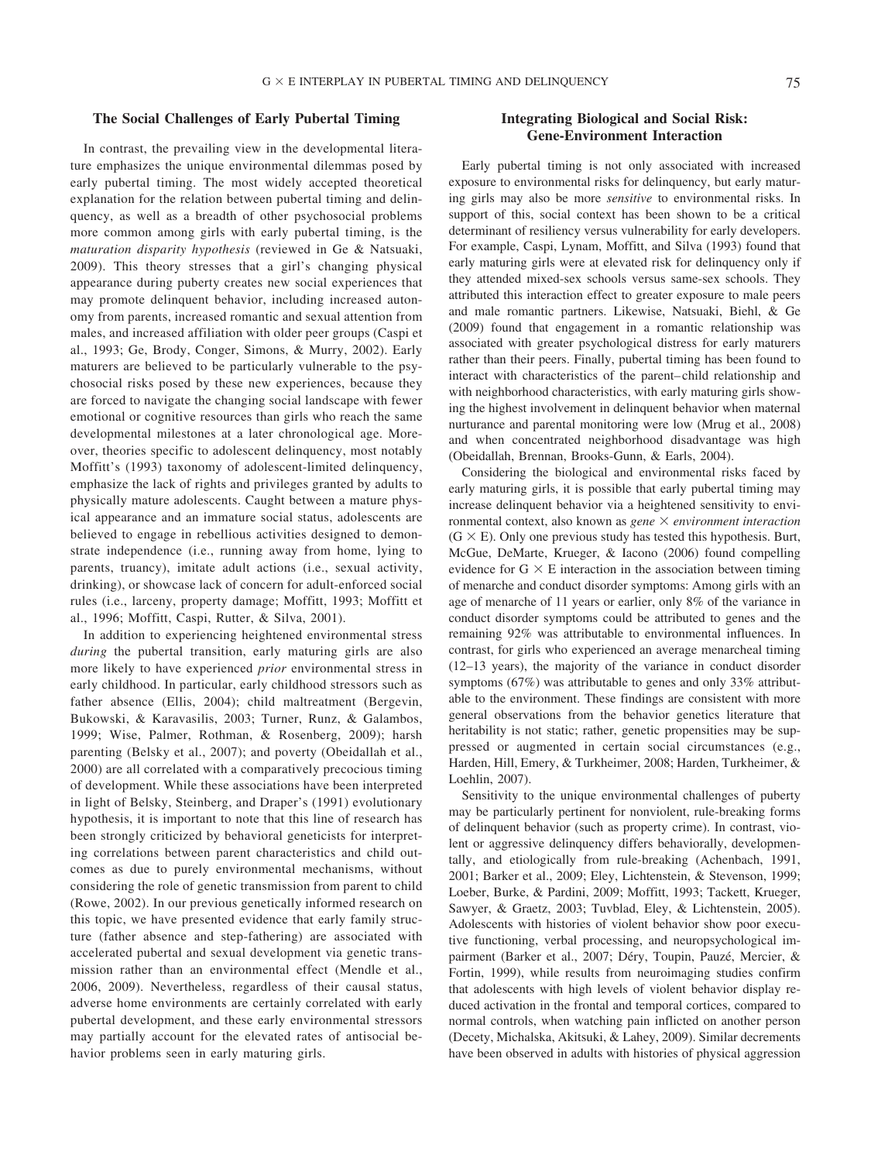#### **The Social Challenges of Early Pubertal Timing**

In contrast, the prevailing view in the developmental literature emphasizes the unique environmental dilemmas posed by early pubertal timing. The most widely accepted theoretical explanation for the relation between pubertal timing and delinquency, as well as a breadth of other psychosocial problems more common among girls with early pubertal timing, is the *maturation disparity hypothesis* (reviewed in Ge & Natsuaki, 2009). This theory stresses that a girl's changing physical appearance during puberty creates new social experiences that may promote delinquent behavior, including increased autonomy from parents, increased romantic and sexual attention from males, and increased affiliation with older peer groups (Caspi et al., 1993; Ge, Brody, Conger, Simons, & Murry, 2002). Early maturers are believed to be particularly vulnerable to the psychosocial risks posed by these new experiences, because they are forced to navigate the changing social landscape with fewer emotional or cognitive resources than girls who reach the same developmental milestones at a later chronological age. Moreover, theories specific to adolescent delinquency, most notably Moffitt's (1993) taxonomy of adolescent-limited delinquency, emphasize the lack of rights and privileges granted by adults to physically mature adolescents. Caught between a mature physical appearance and an immature social status, adolescents are believed to engage in rebellious activities designed to demonstrate independence (i.e., running away from home, lying to parents, truancy), imitate adult actions (i.e., sexual activity, drinking), or showcase lack of concern for adult-enforced social rules (i.e., larceny, property damage; Moffitt, 1993; Moffitt et al., 1996; Moffitt, Caspi, Rutter, & Silva, 2001).

In addition to experiencing heightened environmental stress *during* the pubertal transition, early maturing girls are also more likely to have experienced *prior* environmental stress in early childhood. In particular, early childhood stressors such as father absence (Ellis, 2004); child maltreatment (Bergevin, Bukowski, & Karavasilis, 2003; Turner, Runz, & Galambos, 1999; Wise, Palmer, Rothman, & Rosenberg, 2009); harsh parenting (Belsky et al., 2007); and poverty (Obeidallah et al., 2000) are all correlated with a comparatively precocious timing of development. While these associations have been interpreted in light of Belsky, Steinberg, and Draper's (1991) evolutionary hypothesis, it is important to note that this line of research has been strongly criticized by behavioral geneticists for interpreting correlations between parent characteristics and child outcomes as due to purely environmental mechanisms, without considering the role of genetic transmission from parent to child (Rowe, 2002). In our previous genetically informed research on this topic, we have presented evidence that early family structure (father absence and step-fathering) are associated with accelerated pubertal and sexual development via genetic transmission rather than an environmental effect (Mendle et al., 2006, 2009). Nevertheless, regardless of their causal status, adverse home environments are certainly correlated with early pubertal development, and these early environmental stressors may partially account for the elevated rates of antisocial behavior problems seen in early maturing girls.

## **Integrating Biological and Social Risk: Gene-Environment Interaction**

Early pubertal timing is not only associated with increased exposure to environmental risks for delinquency, but early maturing girls may also be more *sensitive* to environmental risks. In support of this, social context has been shown to be a critical determinant of resiliency versus vulnerability for early developers. For example, Caspi, Lynam, Moffitt, and Silva (1993) found that early maturing girls were at elevated risk for delinquency only if they attended mixed-sex schools versus same-sex schools. They attributed this interaction effect to greater exposure to male peers and male romantic partners. Likewise, Natsuaki, Biehl, & Ge (2009) found that engagement in a romantic relationship was associated with greater psychological distress for early maturers rather than their peers. Finally, pubertal timing has been found to interact with characteristics of the parent– child relationship and with neighborhood characteristics, with early maturing girls showing the highest involvement in delinquent behavior when maternal nurturance and parental monitoring were low (Mrug et al., 2008) and when concentrated neighborhood disadvantage was high (Obeidallah, Brennan, Brooks-Gunn, & Earls, 2004).

Considering the biological and environmental risks faced by early maturing girls, it is possible that early pubertal timing may increase delinquent behavior via a heightened sensitivity to environmental context, also known as *gene environment interaction*  $(G \times E)$ . Only one previous study has tested this hypothesis. Burt, McGue, DeMarte, Krueger, & Iacono (2006) found compelling evidence for  $G \times E$  interaction in the association between timing of menarche and conduct disorder symptoms: Among girls with an age of menarche of 11 years or earlier, only 8% of the variance in conduct disorder symptoms could be attributed to genes and the remaining 92% was attributable to environmental influences. In contrast, for girls who experienced an average menarcheal timing (12–13 years), the majority of the variance in conduct disorder symptoms (67%) was attributable to genes and only 33% attributable to the environment. These findings are consistent with more general observations from the behavior genetics literature that heritability is not static; rather, genetic propensities may be suppressed or augmented in certain social circumstances (e.g., Harden, Hill, Emery, & Turkheimer, 2008; Harden, Turkheimer, & Loehlin, 2007).

Sensitivity to the unique environmental challenges of puberty may be particularly pertinent for nonviolent, rule-breaking forms of delinquent behavior (such as property crime). In contrast, violent or aggressive delinquency differs behaviorally, developmentally, and etiologically from rule-breaking (Achenbach, 1991, 2001; Barker et al., 2009; Eley, Lichtenstein, & Stevenson, 1999; Loeber, Burke, & Pardini, 2009; Moffitt, 1993; Tackett, Krueger, Sawyer, & Graetz, 2003; Tuvblad, Eley, & Lichtenstein, 2005). Adolescents with histories of violent behavior show poor executive functioning, verbal processing, and neuropsychological impairment (Barker et al., 2007; Déry, Toupin, Pauzé, Mercier, & Fortin, 1999), while results from neuroimaging studies confirm that adolescents with high levels of violent behavior display reduced activation in the frontal and temporal cortices, compared to normal controls, when watching pain inflicted on another person (Decety, Michalska, Akitsuki, & Lahey, 2009). Similar decrements have been observed in adults with histories of physical aggression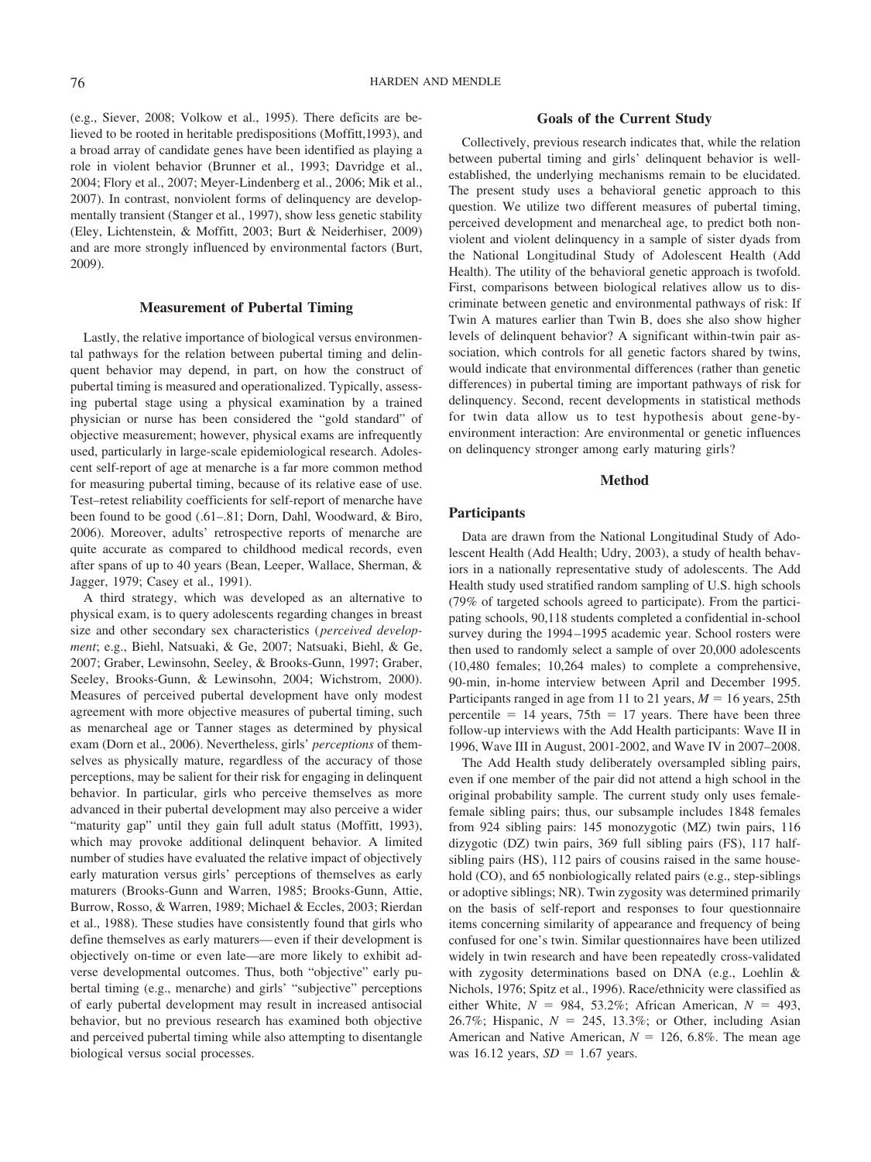(e.g., Siever, 2008; Volkow et al., 1995). There deficits are believed to be rooted in heritable predispositions (Moffitt,1993), and a broad array of candidate genes have been identified as playing a role in violent behavior (Brunner et al., 1993; Davridge et al., 2004; Flory et al., 2007; Meyer-Lindenberg et al., 2006; Mik et al., 2007). In contrast, nonviolent forms of delinquency are developmentally transient (Stanger et al., 1997), show less genetic stability (Eley, Lichtenstein, & Moffitt, 2003; Burt & Neiderhiser, 2009) and are more strongly influenced by environmental factors (Burt, 2009).

#### **Measurement of Pubertal Timing**

Lastly, the relative importance of biological versus environmental pathways for the relation between pubertal timing and delinquent behavior may depend, in part, on how the construct of pubertal timing is measured and operationalized. Typically, assessing pubertal stage using a physical examination by a trained physician or nurse has been considered the "gold standard" of objective measurement; however, physical exams are infrequently used, particularly in large-scale epidemiological research. Adolescent self-report of age at menarche is a far more common method for measuring pubertal timing, because of its relative ease of use. Test–retest reliability coefficients for self-report of menarche have been found to be good (.61–.81; Dorn, Dahl, Woodward, & Biro, 2006). Moreover, adults' retrospective reports of menarche are quite accurate as compared to childhood medical records, even after spans of up to 40 years (Bean, Leeper, Wallace, Sherman, & Jagger, 1979; Casey et al., 1991).

A third strategy, which was developed as an alternative to physical exam, is to query adolescents regarding changes in breast size and other secondary sex characteristics (*perceived development*; e.g., Biehl, Natsuaki, & Ge, 2007; Natsuaki, Biehl, & Ge, 2007; Graber, Lewinsohn, Seeley, & Brooks-Gunn, 1997; Graber, Seeley, Brooks-Gunn, & Lewinsohn, 2004; Wichstrom, 2000). Measures of perceived pubertal development have only modest agreement with more objective measures of pubertal timing, such as menarcheal age or Tanner stages as determined by physical exam (Dorn et al., 2006). Nevertheless, girls' *perceptions* of themselves as physically mature, regardless of the accuracy of those perceptions, may be salient for their risk for engaging in delinquent behavior. In particular, girls who perceive themselves as more advanced in their pubertal development may also perceive a wider "maturity gap" until they gain full adult status (Moffitt, 1993), which may provoke additional delinquent behavior. A limited number of studies have evaluated the relative impact of objectively early maturation versus girls' perceptions of themselves as early maturers (Brooks-Gunn and Warren, 1985; Brooks-Gunn, Attie, Burrow, Rosso, & Warren, 1989; Michael & Eccles, 2003; Rierdan et al., 1988). These studies have consistently found that girls who define themselves as early maturers— even if their development is objectively on-time or even late—are more likely to exhibit adverse developmental outcomes. Thus, both "objective" early pubertal timing (e.g., menarche) and girls' "subjective" perceptions of early pubertal development may result in increased antisocial behavior, but no previous research has examined both objective and perceived pubertal timing while also attempting to disentangle biological versus social processes.

#### **Goals of the Current Study**

Collectively, previous research indicates that, while the relation between pubertal timing and girls' delinquent behavior is wellestablished, the underlying mechanisms remain to be elucidated. The present study uses a behavioral genetic approach to this question. We utilize two different measures of pubertal timing, perceived development and menarcheal age, to predict both nonviolent and violent delinquency in a sample of sister dyads from the National Longitudinal Study of Adolescent Health (Add Health). The utility of the behavioral genetic approach is twofold. First, comparisons between biological relatives allow us to discriminate between genetic and environmental pathways of risk: If Twin A matures earlier than Twin B, does she also show higher levels of delinquent behavior? A significant within-twin pair association, which controls for all genetic factors shared by twins, would indicate that environmental differences (rather than genetic differences) in pubertal timing are important pathways of risk for delinquency. Second, recent developments in statistical methods for twin data allow us to test hypothesis about gene-byenvironment interaction: Are environmental or genetic influences on delinquency stronger among early maturing girls?

#### **Method**

### **Participants**

Data are drawn from the National Longitudinal Study of Adolescent Health (Add Health; Udry, 2003), a study of health behaviors in a nationally representative study of adolescents. The Add Health study used stratified random sampling of U.S. high schools (79% of targeted schools agreed to participate). From the participating schools, 90,118 students completed a confidential in-school survey during the 1994–1995 academic year. School rosters were then used to randomly select a sample of over 20,000 adolescents (10,480 females; 10,264 males) to complete a comprehensive, 90-min, in-home interview between April and December 1995. Participants ranged in age from 11 to 21 years,  $M = 16$  years, 25th percentile  $= 14$  years,  $75th = 17$  years. There have been three follow-up interviews with the Add Health participants: Wave II in 1996, Wave III in August, 2001-2002, and Wave IV in 2007–2008.

The Add Health study deliberately oversampled sibling pairs, even if one member of the pair did not attend a high school in the original probability sample. The current study only uses femalefemale sibling pairs; thus, our subsample includes 1848 females from 924 sibling pairs: 145 monozygotic (MZ) twin pairs, 116 dizygotic (DZ) twin pairs, 369 full sibling pairs (FS), 117 halfsibling pairs (HS), 112 pairs of cousins raised in the same household (CO), and 65 nonbiologically related pairs (e.g., step-siblings or adoptive siblings; NR). Twin zygosity was determined primarily on the basis of self-report and responses to four questionnaire items concerning similarity of appearance and frequency of being confused for one's twin. Similar questionnaires have been utilized widely in twin research and have been repeatedly cross-validated with zygosity determinations based on DNA (e.g., Loehlin & Nichols, 1976; Spitz et al., 1996). Race/ethnicity were classified as either White,  $N = 984, 53.2\%$ ; African American,  $N = 493$ , 26.7%; Hispanic,  $N = 245$ , 13.3%; or Other, including Asian American and Native American,  $N = 126, 6.8\%$ . The mean age was 16.12 years,  $SD = 1.67$  years.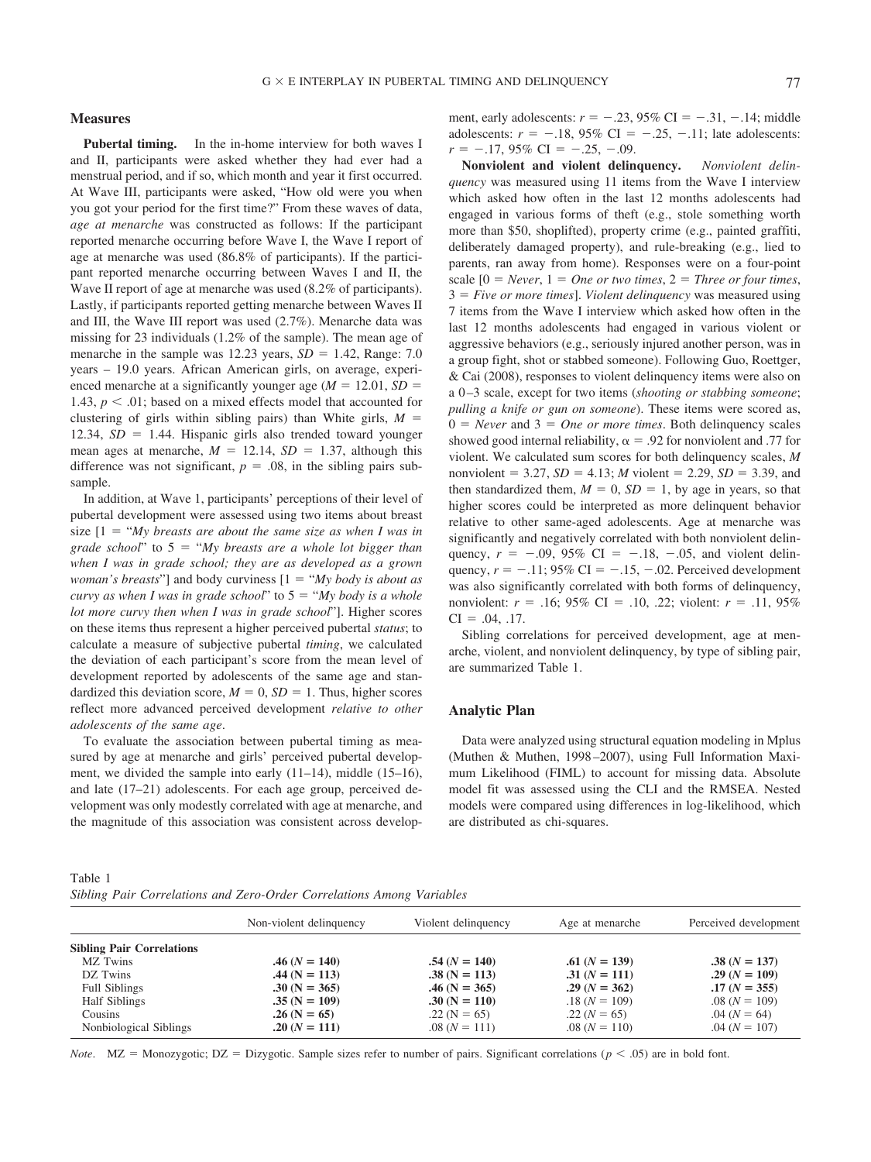#### **Measures**

**Pubertal timing.** In the in-home interview for both waves I and II, participants were asked whether they had ever had a menstrual period, and if so, which month and year it first occurred. At Wave III, participants were asked, "How old were you when you got your period for the first time?" From these waves of data, *age at menarche* was constructed as follows: If the participant reported menarche occurring before Wave I, the Wave I report of age at menarche was used (86.8% of participants). If the participant reported menarche occurring between Waves I and II, the Wave II report of age at menarche was used (8.2% of participants). Lastly, if participants reported getting menarche between Waves II and III, the Wave III report was used (2.7%). Menarche data was missing for 23 individuals (1.2% of the sample). The mean age of menarche in the sample was  $12.23$  years,  $SD = 1.42$ , Range: 7.0 years – 19.0 years. African American girls, on average, experienced menarche at a significantly younger age  $(M = 12.01, SD =$ 1.43,  $p < .01$ ; based on a mixed effects model that accounted for clustering of girls within sibling pairs) than White girls,  $M =$  $12.34$ ,  $SD = 1.44$ . Hispanic girls also trended toward younger mean ages at menarche,  $M = 12.14$ ,  $SD = 1.37$ , although this difference was not significant,  $p = .08$ , in the sibling pairs subsample.

In addition, at Wave 1, participants' perceptions of their level of pubertal development were assessed using two items about breast size  $[1 - "My \text{ } breaks \text{ } are \text{ } about \text{ } the \text{ } same \text{ } size \text{ } as \text{ } when \text{ } I \text{ } was \text{ } in$ *grade school*" to 5 - "*My breasts are a whole lot bigger than when I was in grade school; they are as developed as a grown woman's breasts*"] and body curviness  $[1 = "My body is about as$ *curvy as when I was in grade school*" to  $5 = "My body is a whole$ *lot more curvy then when I was in grade school*"]. Higher scores on these items thus represent a higher perceived pubertal *status*; to calculate a measure of subjective pubertal *timing*, we calculated the deviation of each participant's score from the mean level of development reported by adolescents of the same age and standardized this deviation score,  $M = 0$ ,  $SD = 1$ . Thus, higher scores reflect more advanced perceived development *relative to other adolescents of the same age*.

To evaluate the association between pubertal timing as measured by age at menarche and girls' perceived pubertal development, we divided the sample into early (11–14), middle (15–16), and late (17–21) adolescents. For each age group, perceived development was only modestly correlated with age at menarche, and the magnitude of this association was consistent across development, early adolescents:  $r = -.23, 95\% \text{ CI} = -.31, -.14$ ; middle adolescents:  $r = -.18, 95\% \text{ CI} = -.25, -.11$ ; late adolescents:  $r = -.17,95\% \text{ CI} = -.25, -.09.$ 

**Nonviolent and violent delinquency.** *Nonviolent delinquency* was measured using 11 items from the Wave I interview which asked how often in the last 12 months adolescents had engaged in various forms of theft (e.g., stole something worth more than \$50, shoplifted), property crime (e.g., painted graffiti, deliberately damaged property), and rule-breaking (e.g., lied to parents, ran away from home). Responses were on a four-point scale  $[0 = Never, 1 = One or two times, 2 = Three or four times,$ 3 - *Five or more times*]. *Violent delinquency* was measured using 7 items from the Wave I interview which asked how often in the last 12 months adolescents had engaged in various violent or aggressive behaviors (e.g., seriously injured another person, was in a group fight, shot or stabbed someone). Following Guo, Roettger, & Cai (2008), responses to violent delinquency items were also on a 0 –3 scale, except for two items (*shooting or stabbing someone*; *pulling a knife or gun on someone*). These items were scored as,  $0 = Never$  and  $3 = One$  *or more times*. Both delinquency scales showed good internal reliability,  $\alpha = .92$  for nonviolent and .77 for violent. We calculated sum scores for both delinquency scales, *M* nonviolent = 3.27,  $SD = 4.13$ ; *M* violent = 2.29,  $SD = 3.39$ , and then standardized them,  $M = 0$ ,  $SD = 1$ , by age in years, so that higher scores could be interpreted as more delinquent behavior relative to other same-aged adolescents. Age at menarche was significantly and negatively correlated with both nonviolent delinquency,  $r = -.09, 95\% \text{ CI} = -.18, -.05, \text{ and violent delin-}$ quency,  $r = -.11$ ; 95% CI =  $-.15, -.02$ . Perceived development was also significantly correlated with both forms of delinquency, nonviolent:  $r = .16$ ; 95% CI = .10, .22; violent:  $r = .11$ , 95%  $CI = .04, .17.$ 

Sibling correlations for perceived development, age at menarche, violent, and nonviolent delinquency, by type of sibling pair, are summarized Table 1.

#### **Analytic Plan**

Data were analyzed using structural equation modeling in Mplus (Muthen & Muthen, 1998 –2007), using Full Information Maximum Likelihood (FIML) to account for missing data. Absolute model fit was assessed using the CLI and the RMSEA. Nested models were compared using differences in log-likelihood, which are distributed as chi-squares.

Table 1 *Sibling Pair Correlations and Zero-Order Correlations Among Variables*

|                                  | Non-violent delinquency | Violent delinquency | Age at menarche   | Perceived development |  |
|----------------------------------|-------------------------|---------------------|-------------------|-----------------------|--|
| <b>Sibling Pair Correlations</b> |                         |                     |                   |                       |  |
| MZ Twins                         | $.46(N = 140)$          | $.54(N = 140)$      | .61 ( $N = 139$ ) | $.38(N = 137)$        |  |
| DZ Twins                         | $.44(N = 113)$          | $.38(N = 113)$      | $.31(N = 111)$    | $.29(N = 109)$        |  |
| <b>Full Siblings</b>             | $.30(N = 365)$          | $.46$ (N = 365)     | $.29(N = 362)$    | $.17(N = 355)$        |  |
| <b>Half Siblings</b>             | $.35(N = 109)$          | $.30(N = 110)$      | $.18(N = 109)$    | $.08(N = 109)$        |  |
| Cousins                          | $.26$ (N = 65)          | $.22(N = 65)$       | $.22(N = 65)$     | $.04(N = 64)$         |  |
| Nonbiological Siblings           | $.20(N = 111)$          | $.08(N = 111)$      | $.08(N = 110)$    | $.04(N = 107)$        |  |
|                                  |                         |                     |                   |                       |  |

*Note*.  $MZ = Monozygotic$ ;  $DZ = Disygotic$ . Sample sizes refer to number of pairs. Significant correlations ( $p < .05$ ) are in bold font.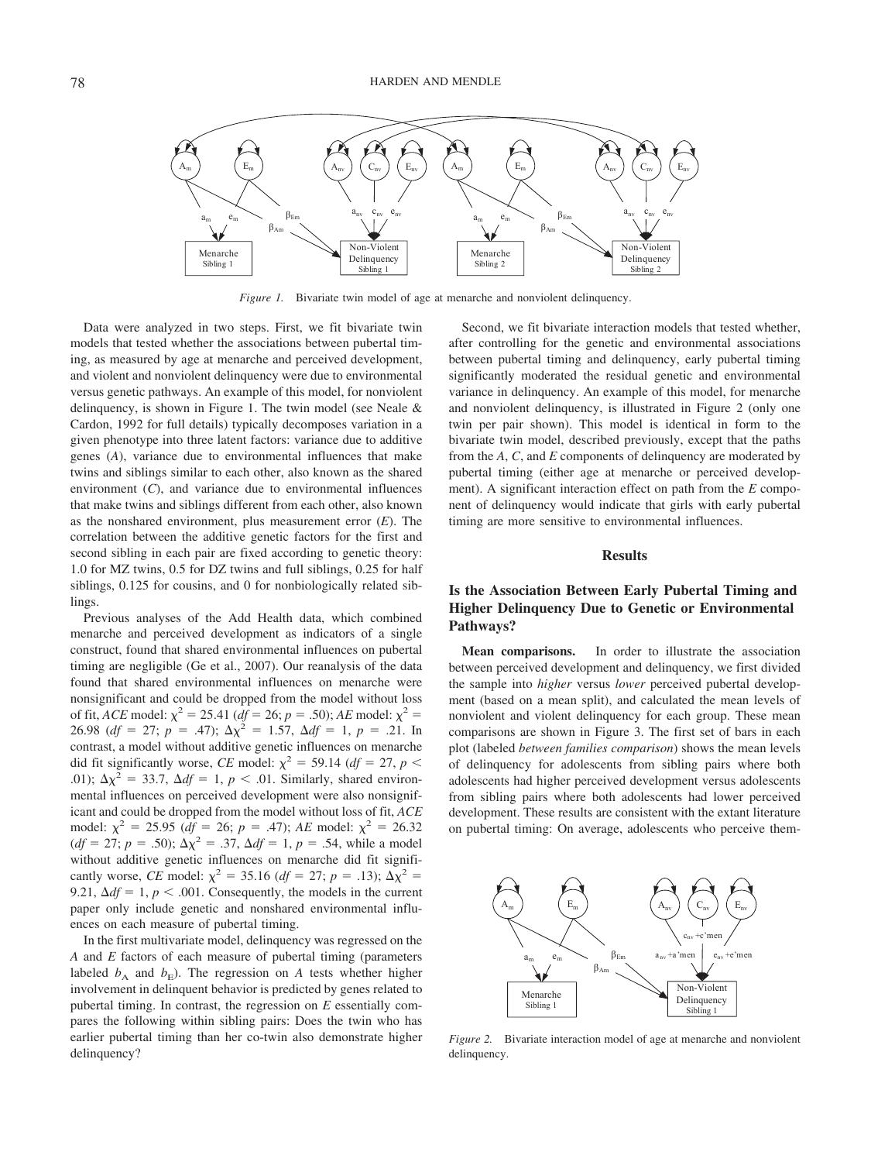

*Figure 1.* Bivariate twin model of age at menarche and nonviolent delinquency.

Data were analyzed in two steps. First, we fit bivariate twin models that tested whether the associations between pubertal timing, as measured by age at menarche and perceived development, and violent and nonviolent delinquency were due to environmental versus genetic pathways. An example of this model, for nonviolent delinquency, is shown in Figure 1. The twin model (see Neale & Cardon, 1992 for full details) typically decomposes variation in a given phenotype into three latent factors: variance due to additive genes (*A*), variance due to environmental influences that make twins and siblings similar to each other, also known as the shared environment (*C*), and variance due to environmental influences that make twins and siblings different from each other, also known as the nonshared environment, plus measurement error (*E*). The correlation between the additive genetic factors for the first and second sibling in each pair are fixed according to genetic theory: 1.0 for MZ twins, 0.5 for DZ twins and full siblings, 0.25 for half siblings, 0.125 for cousins, and 0 for nonbiologically related siblings.

Previous analyses of the Add Health data, which combined menarche and perceived development as indicators of a single construct, found that shared environmental influences on pubertal timing are negligible (Ge et al., 2007). Our reanalysis of the data found that shared environmental influences on menarche were nonsignificant and could be dropped from the model without loss of fit, *ACE* model:  $\chi^2 = 25.41$  (*df* = 26; *p* = .50); *AE* model:  $\chi^2$  = 26.98 (*df* = 27; *p* = .47);  $\Delta \chi^2 = 1.57$ ,  $\Delta df = 1$ , *p* = .21. In contrast, a model without additive genetic influences on menarche did fit significantly worse, *CE* model:  $\chi^2 = 59.14$  (*df* = 27, *p* < .01);  $\Delta \chi^2 = 33.7$ ,  $\Delta df = 1$ ,  $p < .01$ . Similarly, shared environmental influences on perceived development were also nonsignificant and could be dropped from the model without loss of fit, *ACE* model:  $\chi^2 = 25.95$  (*df* = 26; *p* = .47); *AE* model:  $\chi^2 = 26.32$ (*df* = 27; *p* = .50);  $\Delta \chi^2$  = .37,  $\Delta df$  = 1, *p* = .54, while a model without additive genetic influences on menarche did fit significantly worse, *CE* model:  $\chi^2 = 35.16$  (*df* = 27; *p* = .13);  $\Delta \chi^2 =$ 9.21,  $\Delta df = 1$ ,  $p < .001$ . Consequently, the models in the current paper only include genetic and nonshared environmental influences on each measure of pubertal timing.

In the first multivariate model, delinquency was regressed on the *A* and *E* factors of each measure of pubertal timing (parameters labeled  $b_A$  and  $b_E$ ). The regression on *A* tests whether higher involvement in delinquent behavior is predicted by genes related to pubertal timing. In contrast, the regression on *E* essentially compares the following within sibling pairs: Does the twin who has earlier pubertal timing than her co-twin also demonstrate higher delinquency?

Second, we fit bivariate interaction models that tested whether, after controlling for the genetic and environmental associations between pubertal timing and delinquency, early pubertal timing significantly moderated the residual genetic and environmental variance in delinquency. An example of this model, for menarche and nonviolent delinquency, is illustrated in Figure 2 (only one twin per pair shown). This model is identical in form to the bivariate twin model, described previously, except that the paths from the *A*, *C*, and *E* components of delinquency are moderated by pubertal timing (either age at menarche or perceived development). A significant interaction effect on path from the *E* component of delinquency would indicate that girls with early pubertal timing are more sensitive to environmental influences.

#### **Results**

## **Is the Association Between Early Pubertal Timing and Higher Delinquency Due to Genetic or Environmental Pathways?**

**Mean comparisons.** In order to illustrate the association between perceived development and delinquency, we first divided the sample into *higher* versus *lower* perceived pubertal development (based on a mean split), and calculated the mean levels of nonviolent and violent delinquency for each group. These mean comparisons are shown in Figure 3. The first set of bars in each plot (labeled *between families comparison*) shows the mean levels of delinquency for adolescents from sibling pairs where both adolescents had higher perceived development versus adolescents from sibling pairs where both adolescents had lower perceived development. These results are consistent with the extant literature on pubertal timing: On average, adolescents who perceive them-



*Figure 2.* Bivariate interaction model of age at menarche and nonviolent delinquency.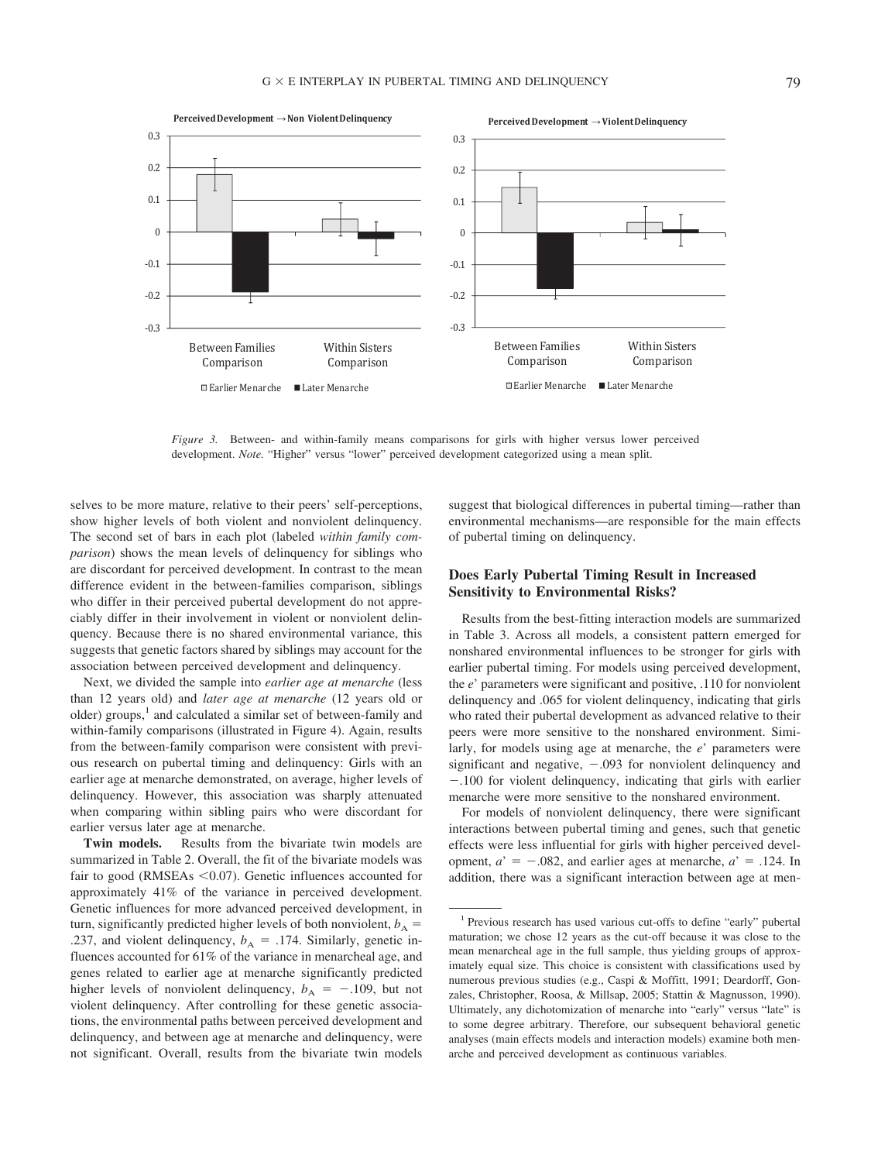

*Figure 3.* Between- and within-family means comparisons for girls with higher versus lower perceived development. *Note.* "Higher" versus "lower" perceived development categorized using a mean split.

selves to be more mature, relative to their peers' self-perceptions, show higher levels of both violent and nonviolent delinquency. The second set of bars in each plot (labeled *within family comparison*) shows the mean levels of delinquency for siblings who are discordant for perceived development. In contrast to the mean difference evident in the between-families comparison, siblings who differ in their perceived pubertal development do not appreciably differ in their involvement in violent or nonviolent delinquency. Because there is no shared environmental variance, this suggests that genetic factors shared by siblings may account for the association between perceived development and delinquency.

Next, we divided the sample into *earlier age at menarche* (less than 12 years old) and *later age at menarche* (12 years old or older) groups, $<sup>1</sup>$  and calculated a similar set of between-family and</sup> within-family comparisons (illustrated in Figure 4). Again, results from the between-family comparison were consistent with previous research on pubertal timing and delinquency: Girls with an earlier age at menarche demonstrated, on average, higher levels of delinquency. However, this association was sharply attenuated when comparing within sibling pairs who were discordant for earlier versus later age at menarche.

**Twin models.** Results from the bivariate twin models are summarized in Table 2. Overall, the fit of the bivariate models was fair to good (RMSEAs  $\leq 0.07$ ). Genetic influences accounted for approximately 41% of the variance in perceived development. Genetic influences for more advanced perceived development, in turn, significantly predicted higher levels of both nonviolent,  $b<sub>A</sub>$  = .237, and violent delinquency,  $b_A = .174$ . Similarly, genetic influences accounted for 61% of the variance in menarcheal age, and genes related to earlier age at menarche significantly predicted higher levels of nonviolent delinquency,  $b_A = -.109$ , but not violent delinquency. After controlling for these genetic associations, the environmental paths between perceived development and delinquency, and between age at menarche and delinquency, were not significant. Overall, results from the bivariate twin models suggest that biological differences in pubertal timing—rather than environmental mechanisms—are responsible for the main effects of pubertal timing on delinquency.

## **Does Early Pubertal Timing Result in Increased Sensitivity to Environmental Risks?**

Results from the best-fitting interaction models are summarized in Table 3. Across all models, a consistent pattern emerged for nonshared environmental influences to be stronger for girls with earlier pubertal timing. For models using perceived development, the *e*' parameters were significant and positive, .110 for nonviolent delinquency and .065 for violent delinquency, indicating that girls who rated their pubertal development as advanced relative to their peers were more sensitive to the nonshared environment. Similarly, for models using age at menarche, the *e*' parameters were significant and negative,  $-.093$  for nonviolent delinquency and .100 for violent delinquency, indicating that girls with earlier menarche were more sensitive to the nonshared environment.

For models of nonviolent delinquency, there were significant interactions between pubertal timing and genes, such that genetic effects were less influential for girls with higher perceived development,  $a' = -.082$ , and earlier ages at menarche,  $a' = .124$ . In addition, there was a significant interaction between age at men-

<sup>&</sup>lt;sup>1</sup> Previous research has used various cut-offs to define "early" pubertal maturation; we chose 12 years as the cut-off because it was close to the mean menarcheal age in the full sample, thus yielding groups of approximately equal size. This choice is consistent with classifications used by numerous previous studies (e.g., Caspi & Moffitt, 1991; Deardorff, Gonzales, Christopher, Roosa, & Millsap, 2005; Stattin & Magnusson, 1990). Ultimately, any dichotomization of menarche into "early" versus "late" is to some degree arbitrary. Therefore, our subsequent behavioral genetic analyses (main effects models and interaction models) examine both menarche and perceived development as continuous variables.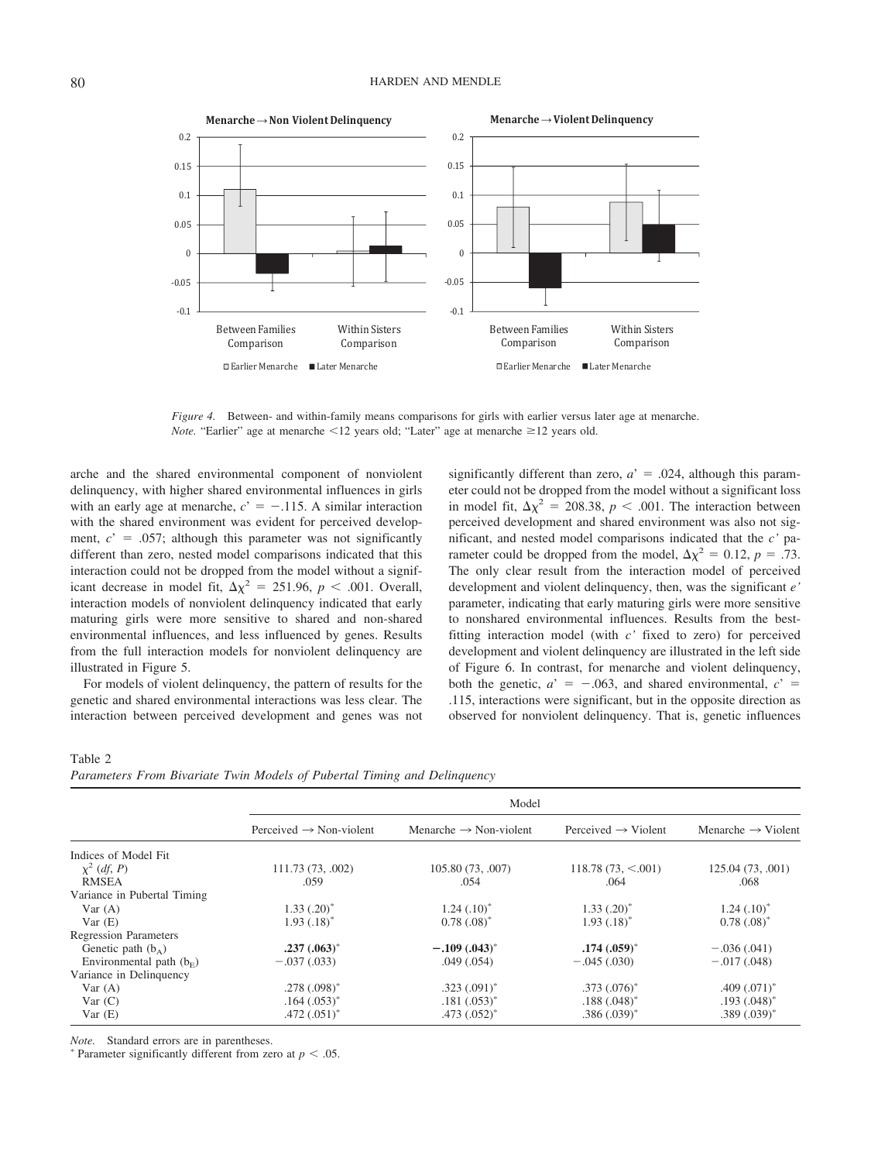

*Figure 4.* Between- and within-family means comparisons for girls with earlier versus later age at menarche. *Note.* "Earlier" age at menarche <12 years old; "Later" age at menarche  $\geq$ 12 years old.

arche and the shared environmental component of nonviolent delinquency, with higher shared environmental influences in girls with an early age at menarche,  $c' = -.115$ . A similar interaction with the shared environment was evident for perceived development,  $c' = .057$ ; although this parameter was not significantly different than zero, nested model comparisons indicated that this interaction could not be dropped from the model without a significant decrease in model fit,  $\Delta \chi^2 = 251.96$ ,  $p < .001$ . Overall, interaction models of nonviolent delinquency indicated that early maturing girls were more sensitive to shared and non-shared environmental influences, and less influenced by genes. Results from the full interaction models for nonviolent delinquency are illustrated in Figure 5.

For models of violent delinquency, the pattern of results for the genetic and shared environmental interactions was less clear. The interaction between perceived development and genes was not

significantly different than zero,  $a' = .024$ , although this parameter could not be dropped from the model without a significant loss in model fit,  $\Delta \chi^2 = 208.38$ ,  $p < .001$ . The interaction between perceived development and shared environment was also not significant, and nested model comparisons indicated that the *c'* parameter could be dropped from the model,  $\Delta \chi^2 = 0.12$ ,  $p = .73$ . The only clear result from the interaction model of perceived development and violent delinquency, then, was the significant *e'* parameter, indicating that early maturing girls were more sensitive to nonshared environmental influences. Results from the bestfitting interaction model (with *c'* fixed to zero) for perceived development and violent delinquency are illustrated in the left side of Figure 6. In contrast, for menarche and violent delinquency, both the genetic,  $a' = -.063$ , and shared environmental,  $c' =$ .115, interactions were significant, but in the opposite direction as observed for nonviolent delinquency. That is, genetic influences

## Table 2 *Parameters From Bivariate Twin Models of Pubertal Timing and Delinquency*

|                              | Model                               |                                    |                                 |                                |  |
|------------------------------|-------------------------------------|------------------------------------|---------------------------------|--------------------------------|--|
|                              | Perceived $\rightarrow$ Non-violent | Menarche $\rightarrow$ Non-violent | Perceived $\rightarrow$ Violent | Menarche $\rightarrow$ Violent |  |
| Indices of Model Fit.        |                                     |                                    |                                 |                                |  |
| $\chi^2$ (df, P)             | 111.73 (73, .002)                   | 105.80 (73, .007)                  | 118.78(73, < .001)              | 125.04 (73, .001)              |  |
| <b>RMSEA</b>                 | .059                                | .054                               | .064                            | .068                           |  |
| Variance in Pubertal Timing  |                                     |                                    |                                 |                                |  |
| Var(A)                       | $1.33(.20)^*$                       | $1.24$ $(.10)^*$                   | $1.33(.20)^*$                   | $1.24$ $(.10)^*$               |  |
| Var(E)                       | $1.93(0.18)^{*}$                    | $0.78(.08)^*$                      | $1.93(0.18)^{*}$                | $0.78(.08)^*$                  |  |
| <b>Regression Parameters</b> |                                     |                                    |                                 |                                |  |
| Genetic path $(b_A)$         | $.237(.063)^*$                      | $-.109(.043)^*$                    | $.174(.059)^*$                  | $-.036(.041)$                  |  |
| Environmental path $(bE)$    | $-.037(.033)$                       | .049(.054)                         | $-.045(.030)$                   | $-.017(.048)$                  |  |
| Variance in Delinquency      |                                     |                                    |                                 |                                |  |
| Var(A)                       | $.278(.098)^*$                      | $.323(.091)^*$                     | $.373(.076)^*$                  | $.409(.071)^*$                 |  |
| Var(C)                       | $.164(.053)^*$                      | $.181(.053)^*$                     | $.188(.048)^*$                  | $.193(.048)^*$                 |  |
| Var(E)                       | $.472(.051)^*$                      | $.473(.052)^*$                     | $.386(.039)^*$                  | $.389(.039)^*$                 |  |

*Note.* Standard errors are in parentheses.<br>
\* Parameter significantly different from zero at  $p < .05$ .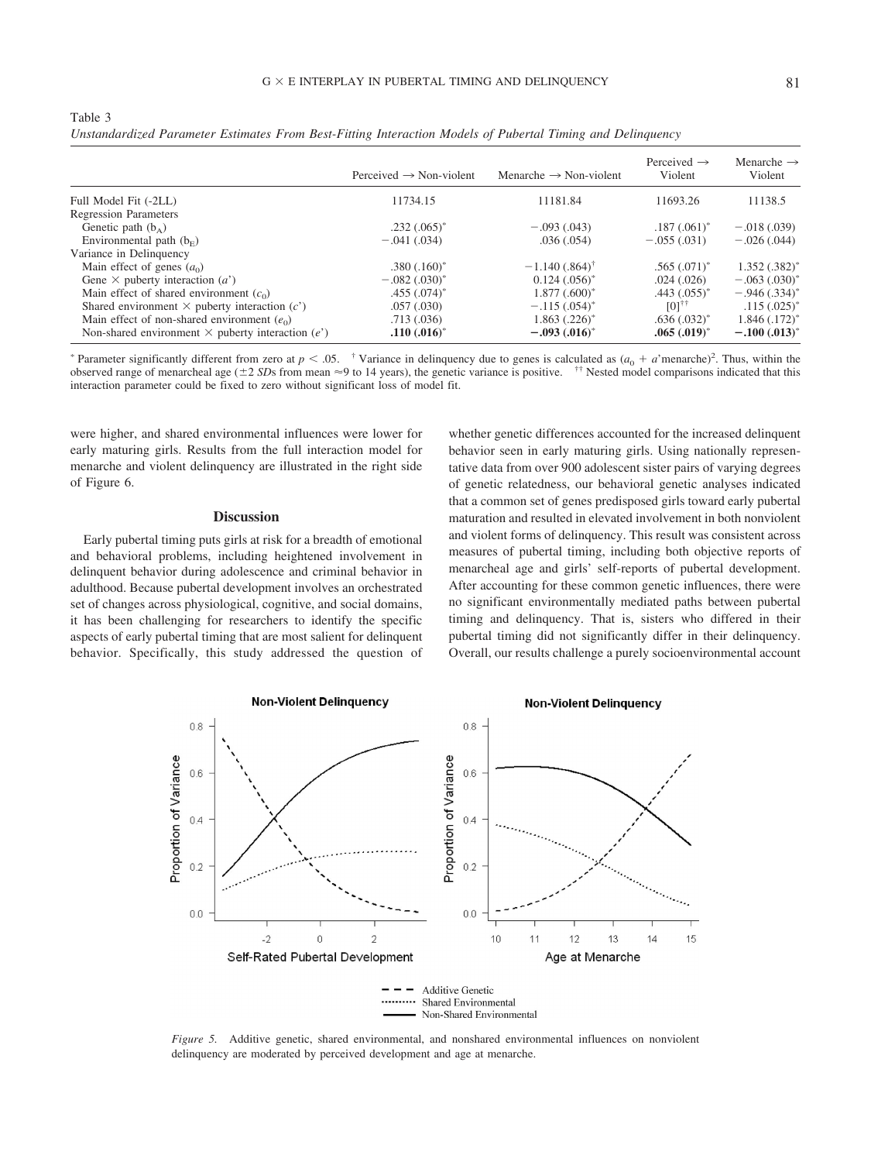|                                                          | Perceived $\rightarrow$ Non-violent | Menarche $\rightarrow$ Non-violent | Perceived $\rightarrow$<br>Violent | Menarche $\rightarrow$<br>Violent |
|----------------------------------------------------------|-------------------------------------|------------------------------------|------------------------------------|-----------------------------------|
| Full Model Fit (-2LL)                                    | 11734.15                            | 11181.84                           | 11693.26                           | 11138.5                           |
| <b>Regression Parameters</b>                             |                                     |                                    |                                    |                                   |
| Genetic path $(b_4)$                                     | $.232(.065)^*$                      | $-.093(.043)$                      | $.187 \times 0.061$ <sup>*</sup>   | $-.018(.039)$                     |
| Environmental path $(bE)$                                | $-.041(.034)$                       | .036(.054)                         | $-.055(.031)$                      | $-.026(.044)$                     |
| Variance in Delinquency                                  |                                     |                                    |                                    |                                   |
| Main effect of genes $(a_0)$                             | $.380(.160)^*$                      | $-1.140(.864)^{\dagger}$           | $.565(.071)^*$                     | $1.352(.382)^*$                   |
| Gene $\times$ puberty interaction ( <i>a</i> ')          | $-.082(.030)^*$                     | $0.124(.056)^*$                    | .024(.026)                         | $-.063(.030)^*$                   |
| Main effect of shared environment $(c_0)$                | $.455(.074)^*$                      | $1.877(.600)^*$                    | $.443(.055)^*$                     | $-.946(.334)^*$                   |
| Shared environment $\times$ puberty interaction (c')     | .057(.030)                          | $-.115(.054)^*$                    | $[0]^{++}$                         | $.115(.025)^{*}$                  |
| Main effect of non-shared environment $(e_0)$            | .713(.036)                          | $1.863(.226)^*$                    | $.636(.032)^*$                     | 1.846(.172)                       |
| Non-shared environment $\times$ puberty interaction (e') | $.110(.016)^*$                      | $-.093(.016)^*$                    | $.065(.019)^*$                     | $-.100(.013)^{4}$                 |

*Unstandardized Parameter Estimates From Best-Fitting Interaction Models of Pubertal Timing and Delinquency*

\* Parameter significantly different from zero at  $p < .05$ . <sup>†</sup> Variance in delinquency due to genes is calculated as  $(a_0 + a'$ menarche)<sup>2</sup>. Thus, within the observed range of menarcheal age  $(\pm 2 SDs)$  from mean  $\approx 9$  to 14 years), the genetic variance is positive. <sup>††</sup> Nested model comparisons indicated that this interaction parameter could be fixed to zero without significant loss of model fit.

were higher, and shared environmental influences were lower for early maturing girls. Results from the full interaction model for menarche and violent delinquency are illustrated in the right side of Figure 6.

Table 3

#### **Discussion**

Early pubertal timing puts girls at risk for a breadth of emotional and behavioral problems, including heightened involvement in delinquent behavior during adolescence and criminal behavior in adulthood. Because pubertal development involves an orchestrated set of changes across physiological, cognitive, and social domains, it has been challenging for researchers to identify the specific aspects of early pubertal timing that are most salient for delinquent behavior. Specifically, this study addressed the question of

whether genetic differences accounted for the increased delinquent behavior seen in early maturing girls. Using nationally representative data from over 900 adolescent sister pairs of varying degrees of genetic relatedness, our behavioral genetic analyses indicated that a common set of genes predisposed girls toward early pubertal maturation and resulted in elevated involvement in both nonviolent and violent forms of delinquency. This result was consistent across measures of pubertal timing, including both objective reports of menarcheal age and girls' self-reports of pubertal development. After accounting for these common genetic influences, there were no significant environmentally mediated paths between pubertal timing and delinquency. That is, sisters who differed in their pubertal timing did not significantly differ in their delinquency. Overall, our results challenge a purely socioenvironmental account



*Figure 5.* Additive genetic, shared environmental, and nonshared environmental influences on nonviolent delinquency are moderated by perceived development and age at menarche.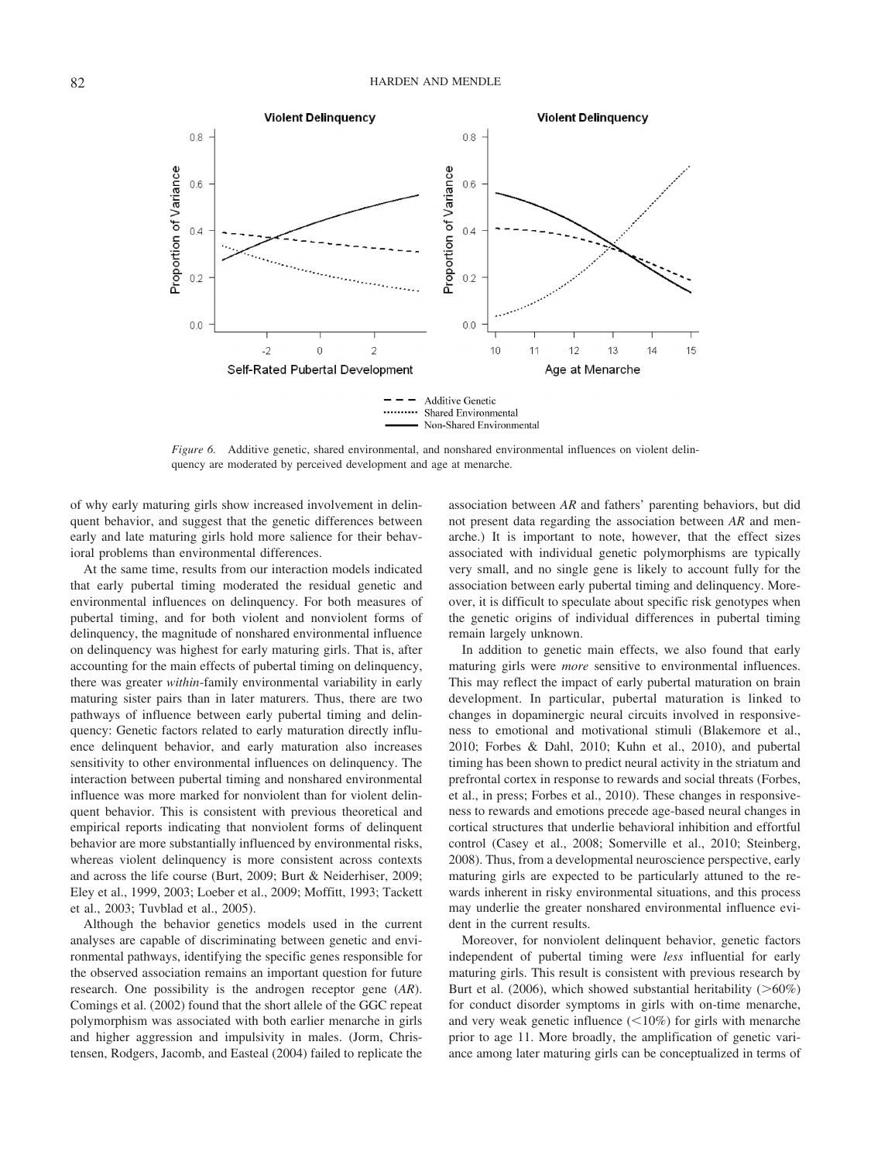

Non-Shared Environmental

*Figure 6.* Additive genetic, shared environmental, and nonshared environmental influences on violent delinquency are moderated by perceived development and age at menarche.

of why early maturing girls show increased involvement in delinquent behavior, and suggest that the genetic differences between early and late maturing girls hold more salience for their behavioral problems than environmental differences.

At the same time, results from our interaction models indicated that early pubertal timing moderated the residual genetic and environmental influences on delinquency. For both measures of pubertal timing, and for both violent and nonviolent forms of delinquency, the magnitude of nonshared environmental influence on delinquency was highest for early maturing girls. That is, after accounting for the main effects of pubertal timing on delinquency, there was greater *within*-family environmental variability in early maturing sister pairs than in later maturers. Thus, there are two pathways of influence between early pubertal timing and delinquency: Genetic factors related to early maturation directly influence delinquent behavior, and early maturation also increases sensitivity to other environmental influences on delinquency. The interaction between pubertal timing and nonshared environmental influence was more marked for nonviolent than for violent delinquent behavior. This is consistent with previous theoretical and empirical reports indicating that nonviolent forms of delinquent behavior are more substantially influenced by environmental risks, whereas violent delinquency is more consistent across contexts and across the life course (Burt, 2009; Burt & Neiderhiser, 2009; Eley et al., 1999, 2003; Loeber et al., 2009; Moffitt, 1993; Tackett et al., 2003; Tuvblad et al., 2005).

Although the behavior genetics models used in the current analyses are capable of discriminating between genetic and environmental pathways, identifying the specific genes responsible for the observed association remains an important question for future research. One possibility is the androgen receptor gene (*AR*). Comings et al. (2002) found that the short allele of the GGC repeat polymorphism was associated with both earlier menarche in girls and higher aggression and impulsivity in males. (Jorm, Christensen, Rodgers, Jacomb, and Easteal (2004) failed to replicate the association between *AR* and fathers' parenting behaviors, but did not present data regarding the association between *AR* and menarche.) It is important to note, however, that the effect sizes associated with individual genetic polymorphisms are typically very small, and no single gene is likely to account fully for the association between early pubertal timing and delinquency. Moreover, it is difficult to speculate about specific risk genotypes when the genetic origins of individual differences in pubertal timing remain largely unknown.

In addition to genetic main effects, we also found that early maturing girls were *more* sensitive to environmental influences. This may reflect the impact of early pubertal maturation on brain development. In particular, pubertal maturation is linked to changes in dopaminergic neural circuits involved in responsiveness to emotional and motivational stimuli (Blakemore et al., 2010; Forbes & Dahl, 2010; Kuhn et al., 2010), and pubertal timing has been shown to predict neural activity in the striatum and prefrontal cortex in response to rewards and social threats (Forbes, et al., in press; Forbes et al., 2010). These changes in responsiveness to rewards and emotions precede age-based neural changes in cortical structures that underlie behavioral inhibition and effortful control (Casey et al., 2008; Somerville et al., 2010; Steinberg, 2008). Thus, from a developmental neuroscience perspective, early maturing girls are expected to be particularly attuned to the rewards inherent in risky environmental situations, and this process may underlie the greater nonshared environmental influence evident in the current results.

Moreover, for nonviolent delinquent behavior, genetic factors independent of pubertal timing were *less* influential for early maturing girls. This result is consistent with previous research by Burt et al. (2006), which showed substantial heritability  $(>60\%)$ for conduct disorder symptoms in girls with on-time menarche, and very weak genetic influence  $\left($  < 10%) for girls with menarche prior to age 11. More broadly, the amplification of genetic variance among later maturing girls can be conceptualized in terms of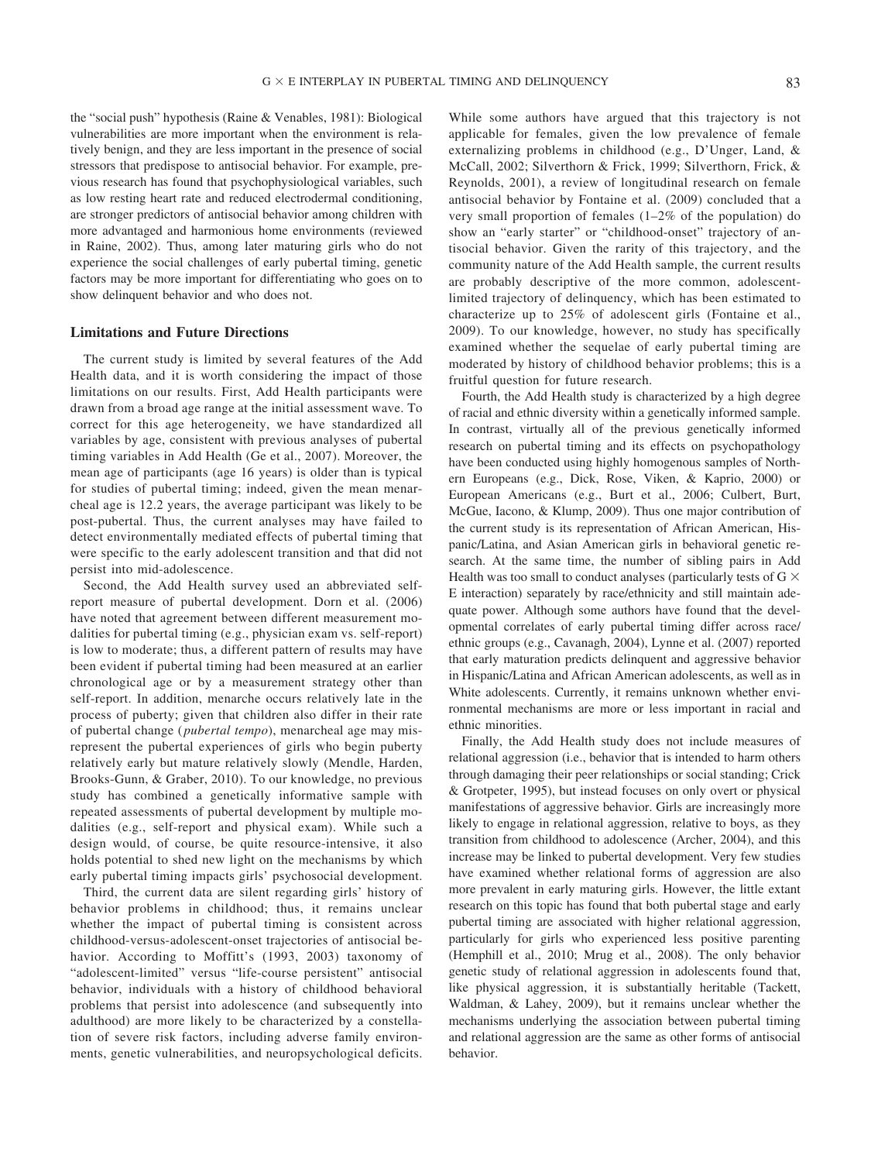the "social push" hypothesis (Raine & Venables, 1981): Biological vulnerabilities are more important when the environment is relatively benign, and they are less important in the presence of social stressors that predispose to antisocial behavior. For example, previous research has found that psychophysiological variables, such as low resting heart rate and reduced electrodermal conditioning, are stronger predictors of antisocial behavior among children with more advantaged and harmonious home environments (reviewed in Raine, 2002). Thus, among later maturing girls who do not experience the social challenges of early pubertal timing, genetic factors may be more important for differentiating who goes on to show delinquent behavior and who does not.

#### **Limitations and Future Directions**

The current study is limited by several features of the Add Health data, and it is worth considering the impact of those limitations on our results. First, Add Health participants were drawn from a broad age range at the initial assessment wave. To correct for this age heterogeneity, we have standardized all variables by age, consistent with previous analyses of pubertal timing variables in Add Health (Ge et al., 2007). Moreover, the mean age of participants (age 16 years) is older than is typical for studies of pubertal timing; indeed, given the mean menarcheal age is 12.2 years, the average participant was likely to be post-pubertal. Thus, the current analyses may have failed to detect environmentally mediated effects of pubertal timing that were specific to the early adolescent transition and that did not persist into mid-adolescence.

Second, the Add Health survey used an abbreviated selfreport measure of pubertal development. Dorn et al. (2006) have noted that agreement between different measurement modalities for pubertal timing (e.g., physician exam vs. self-report) is low to moderate; thus, a different pattern of results may have been evident if pubertal timing had been measured at an earlier chronological age or by a measurement strategy other than self-report. In addition, menarche occurs relatively late in the process of puberty; given that children also differ in their rate of pubertal change (*pubertal tempo*), menarcheal age may misrepresent the pubertal experiences of girls who begin puberty relatively early but mature relatively slowly (Mendle, Harden, Brooks-Gunn, & Graber, 2010). To our knowledge, no previous study has combined a genetically informative sample with repeated assessments of pubertal development by multiple modalities (e.g., self-report and physical exam). While such a design would, of course, be quite resource-intensive, it also holds potential to shed new light on the mechanisms by which early pubertal timing impacts girls' psychosocial development.

Third, the current data are silent regarding girls' history of behavior problems in childhood; thus, it remains unclear whether the impact of pubertal timing is consistent across childhood-versus-adolescent-onset trajectories of antisocial behavior. According to Moffitt's (1993, 2003) taxonomy of "adolescent-limited" versus "life-course persistent" antisocial behavior, individuals with a history of childhood behavioral problems that persist into adolescence (and subsequently into adulthood) are more likely to be characterized by a constellation of severe risk factors, including adverse family environments, genetic vulnerabilities, and neuropsychological deficits.

While some authors have argued that this trajectory is not applicable for females, given the low prevalence of female externalizing problems in childhood (e.g., D'Unger, Land, & McCall, 2002; Silverthorn & Frick, 1999; Silverthorn, Frick, & Reynolds, 2001), a review of longitudinal research on female antisocial behavior by Fontaine et al. (2009) concluded that a very small proportion of females (1–2% of the population) do show an "early starter" or "childhood-onset" trajectory of antisocial behavior. Given the rarity of this trajectory, and the community nature of the Add Health sample, the current results are probably descriptive of the more common, adolescentlimited trajectory of delinquency, which has been estimated to characterize up to 25% of adolescent girls (Fontaine et al., 2009). To our knowledge, however, no study has specifically examined whether the sequelae of early pubertal timing are moderated by history of childhood behavior problems; this is a fruitful question for future research.

Fourth, the Add Health study is characterized by a high degree of racial and ethnic diversity within a genetically informed sample. In contrast, virtually all of the previous genetically informed research on pubertal timing and its effects on psychopathology have been conducted using highly homogenous samples of Northern Europeans (e.g., Dick, Rose, Viken, & Kaprio, 2000) or European Americans (e.g., Burt et al., 2006; Culbert, Burt, McGue, Iacono, & Klump, 2009). Thus one major contribution of the current study is its representation of African American, Hispanic/Latina, and Asian American girls in behavioral genetic research. At the same time, the number of sibling pairs in Add Health was too small to conduct analyses (particularly tests of  $G \times$ E interaction) separately by race/ethnicity and still maintain adequate power. Although some authors have found that the developmental correlates of early pubertal timing differ across race/ ethnic groups (e.g., Cavanagh, 2004), Lynne et al. (2007) reported that early maturation predicts delinquent and aggressive behavior in Hispanic/Latina and African American adolescents, as well as in White adolescents. Currently, it remains unknown whether environmental mechanisms are more or less important in racial and ethnic minorities.

Finally, the Add Health study does not include measures of relational aggression (i.e., behavior that is intended to harm others through damaging their peer relationships or social standing; Crick & Grotpeter, 1995), but instead focuses on only overt or physical manifestations of aggressive behavior. Girls are increasingly more likely to engage in relational aggression, relative to boys, as they transition from childhood to adolescence (Archer, 2004), and this increase may be linked to pubertal development. Very few studies have examined whether relational forms of aggression are also more prevalent in early maturing girls. However, the little extant research on this topic has found that both pubertal stage and early pubertal timing are associated with higher relational aggression, particularly for girls who experienced less positive parenting (Hemphill et al., 2010; Mrug et al., 2008). The only behavior genetic study of relational aggression in adolescents found that, like physical aggression, it is substantially heritable (Tackett, Waldman, & Lahey, 2009), but it remains unclear whether the mechanisms underlying the association between pubertal timing and relational aggression are the same as other forms of antisocial behavior.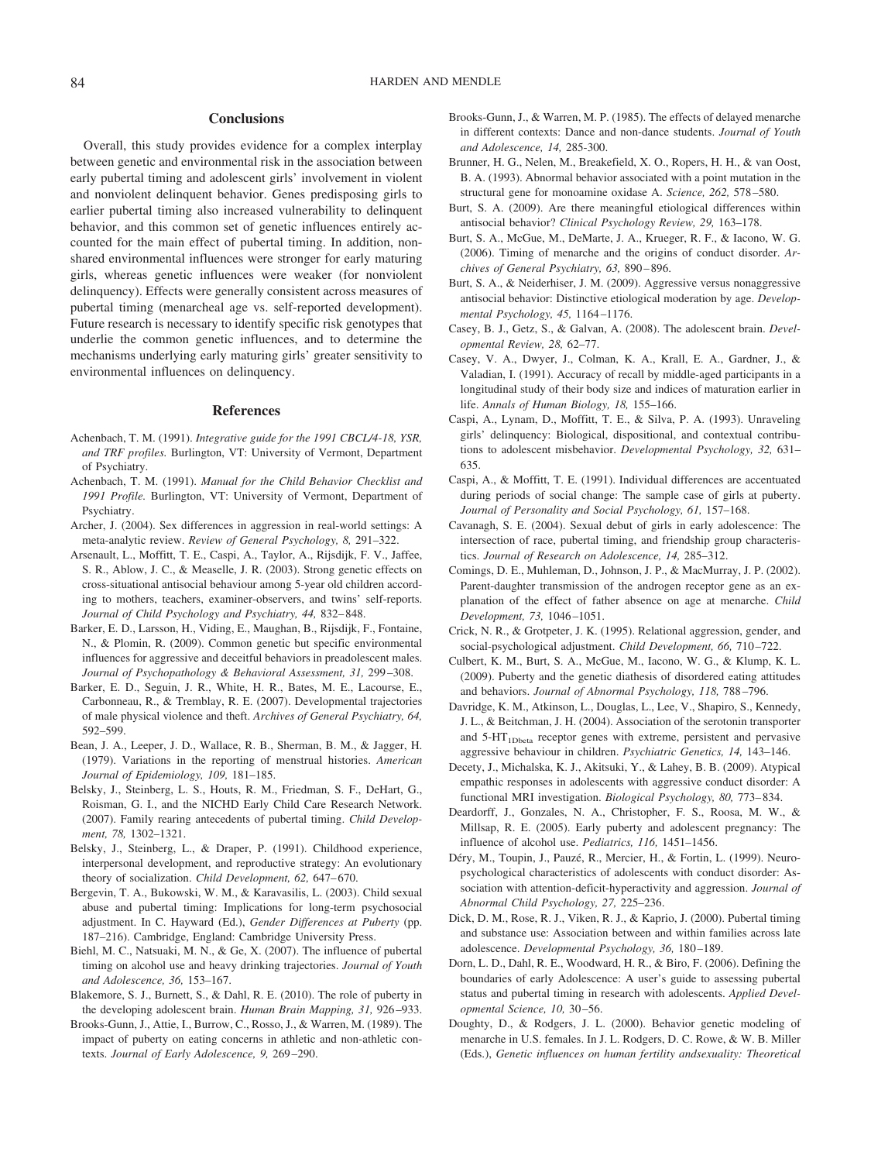#### **Conclusions**

Overall, this study provides evidence for a complex interplay between genetic and environmental risk in the association between early pubertal timing and adolescent girls' involvement in violent and nonviolent delinquent behavior. Genes predisposing girls to earlier pubertal timing also increased vulnerability to delinquent behavior, and this common set of genetic influences entirely accounted for the main effect of pubertal timing. In addition, nonshared environmental influences were stronger for early maturing girls, whereas genetic influences were weaker (for nonviolent delinquency). Effects were generally consistent across measures of pubertal timing (menarcheal age vs. self-reported development). Future research is necessary to identify specific risk genotypes that underlie the common genetic influences, and to determine the mechanisms underlying early maturing girls' greater sensitivity to environmental influences on delinquency.

#### **References**

- Achenbach, T. M. (1991). *Integrative guide for the 1991 CBCL/4-18, YSR, and TRF profiles.* Burlington, VT: University of Vermont, Department of Psychiatry.
- Achenbach, T. M. (1991). *Manual for the Child Behavior Checklist and 1991 Profile.* Burlington, VT: University of Vermont, Department of Psychiatry.
- Archer, J. (2004). Sex differences in aggression in real-world settings: A meta-analytic review. *Review of General Psychology, 8,* 291–322.
- Arsenault, L., Moffitt, T. E., Caspi, A., Taylor, A., Rijsdijk, F. V., Jaffee, S. R., Ablow, J. C., & Measelle, J. R. (2003). Strong genetic effects on cross-situational antisocial behaviour among 5-year old children according to mothers, teachers, examiner-observers, and twins' self-reports. *Journal of Child Psychology and Psychiatry, 44,* 832– 848.
- Barker, E. D., Larsson, H., Viding, E., Maughan, B., Rijsdijk, F., Fontaine, N., & Plomin, R. (2009). Common genetic but specific environmental influences for aggressive and deceitful behaviors in preadolescent males. *Journal of Psychopathology & Behavioral Assessment, 31,* 299 –308.
- Barker, E. D., Seguin, J. R., White, H. R., Bates, M. E., Lacourse, E., Carbonneau, R., & Tremblay, R. E. (2007). Developmental trajectories of male physical violence and theft. *Archives of General Psychiatry, 64,* 592–599.
- Bean, J. A., Leeper, J. D., Wallace, R. B., Sherman, B. M., & Jagger, H. (1979). Variations in the reporting of menstrual histories. *American Journal of Epidemiology, 109,* 181–185.
- Belsky, J., Steinberg, L. S., Houts, R. M., Friedman, S. F., DeHart, G., Roisman, G. I., and the NICHD Early Child Care Research Network. (2007). Family rearing antecedents of pubertal timing. *Child Development, 78,* 1302–1321.
- Belsky, J., Steinberg, L., & Draper, P. (1991). Childhood experience, interpersonal development, and reproductive strategy: An evolutionary theory of socialization. *Child Development*, 62, 647-670.
- Bergevin, T. A., Bukowski, W. M., & Karavasilis, L. (2003). Child sexual abuse and pubertal timing: Implications for long-term psychosocial adjustment. In C. Hayward (Ed.), *Gender Differences at Puberty* (pp. 187–216). Cambridge, England: Cambridge University Press.
- Biehl, M. C., Natsuaki, M. N., & Ge, X. (2007). The influence of pubertal timing on alcohol use and heavy drinking trajectories. *Journal of Youth and Adolescence, 36,* 153–167.
- Blakemore, S. J., Burnett, S., & Dahl, R. E. (2010). The role of puberty in the developing adolescent brain. *Human Brain Mapping, 31,* 926 –933.
- Brooks-Gunn, J., Attie, I., Burrow, C., Rosso, J., & Warren, M. (1989). The impact of puberty on eating concerns in athletic and non-athletic contexts. *Journal of Early Adolescence, 9,* 269 –290.
- Brooks-Gunn, J., & Warren, M. P. (1985). The effects of delayed menarche in different contexts: Dance and non-dance students. *Journal of Youth and Adolescence, 14,* 285-300.
- Brunner, H. G., Nelen, M., Breakefield, X. O., Ropers, H. H., & van Oost, B. A. (1993). Abnormal behavior associated with a point mutation in the structural gene for monoamine oxidase A. *Science, 262,* 578 –580.
- Burt, S. A. (2009). Are there meaningful etiological differences within antisocial behavior? *Clinical Psychology Review, 29,* 163–178.
- Burt, S. A., McGue, M., DeMarte, J. A., Krueger, R. F., & Iacono, W. G. (2006). Timing of menarche and the origins of conduct disorder. *Archives of General Psychiatry, 63,* 890 – 896.
- Burt, S. A., & Neiderhiser, J. M. (2009). Aggressive versus nonaggressive antisocial behavior: Distinctive etiological moderation by age. *Developmental Psychology, 45,* 1164 –1176.
- Casey, B. J., Getz, S., & Galvan, A. (2008). The adolescent brain. *Developmental Review, 28,* 62–77.
- Casey, V. A., Dwyer, J., Colman, K. A., Krall, E. A., Gardner, J., & Valadian, I. (1991). Accuracy of recall by middle-aged participants in a longitudinal study of their body size and indices of maturation earlier in life. *Annals of Human Biology, 18,* 155–166.
- Caspi, A., Lynam, D., Moffitt, T. E., & Silva, P. A. (1993). Unraveling girls' delinquency: Biological, dispositional, and contextual contributions to adolescent misbehavior. *Developmental Psychology, 32,* 631– 635.
- Caspi, A., & Moffitt, T. E. (1991). Individual differences are accentuated during periods of social change: The sample case of girls at puberty. *Journal of Personality and Social Psychology, 61,* 157–168.
- Cavanagh, S. E. (2004). Sexual debut of girls in early adolescence: The intersection of race, pubertal timing, and friendship group characteristics. *Journal of Research on Adolescence, 14,* 285–312.
- Comings, D. E., Muhleman, D., Johnson, J. P., & MacMurray, J. P. (2002). Parent-daughter transmission of the androgen receptor gene as an explanation of the effect of father absence on age at menarche. *Child Development, 73,* 1046 –1051.
- Crick, N. R., & Grotpeter, J. K. (1995). Relational aggression, gender, and social-psychological adjustment. *Child Development, 66,* 710 –722.
- Culbert, K. M., Burt, S. A., McGue, M., Iacono, W. G., & Klump, K. L. (2009). Puberty and the genetic diathesis of disordered eating attitudes and behaviors. *Journal of Abnormal Psychology, 118,* 788 –796.
- Davridge, K. M., Atkinson, L., Douglas, L., Lee, V., Shapiro, S., Kennedy, J. L., & Beitchman, J. H. (2004). Association of the serotonin transporter and 5-HT<sub>1Dbeta</sub> receptor genes with extreme, persistent and pervasive aggressive behaviour in children. *Psychiatric Genetics, 14,* 143–146.
- Decety, J., Michalska, K. J., Akitsuki, Y., & Lahey, B. B. (2009). Atypical empathic responses in adolescents with aggressive conduct disorder: A functional MRI investigation. *Biological Psychology, 80,* 773– 834.
- Deardorff, J., Gonzales, N. A., Christopher, F. S., Roosa, M. W., & Millsap, R. E. (2005). Early puberty and adolescent pregnancy: The influence of alcohol use. *Pediatrics, 116,* 1451–1456.
- Déry, M., Toupin, J., Pauzé, R., Mercier, H., & Fortin, L. (1999). Neuropsychological characteristics of adolescents with conduct disorder: Association with attention-deficit-hyperactivity and aggression. *Journal of Abnormal Child Psychology, 27,* 225–236.
- Dick, D. M., Rose, R. J., Viken, R. J., & Kaprio, J. (2000). Pubertal timing and substance use: Association between and within families across late adolescence. *Developmental Psychology, 36,* 180 –189.
- Dorn, L. D., Dahl, R. E., Woodward, H. R., & Biro, F. (2006). Defining the boundaries of early Adolescence: A user's guide to assessing pubertal status and pubertal timing in research with adolescents. *Applied Developmental Science, 10,* 30 –56.
- Doughty, D., & Rodgers, J. L. (2000). Behavior genetic modeling of menarche in U.S. females. In J. L. Rodgers, D. C. Rowe, & W. B. Miller (Eds.), *Genetic influences on human fertility andsexuality: Theoretical*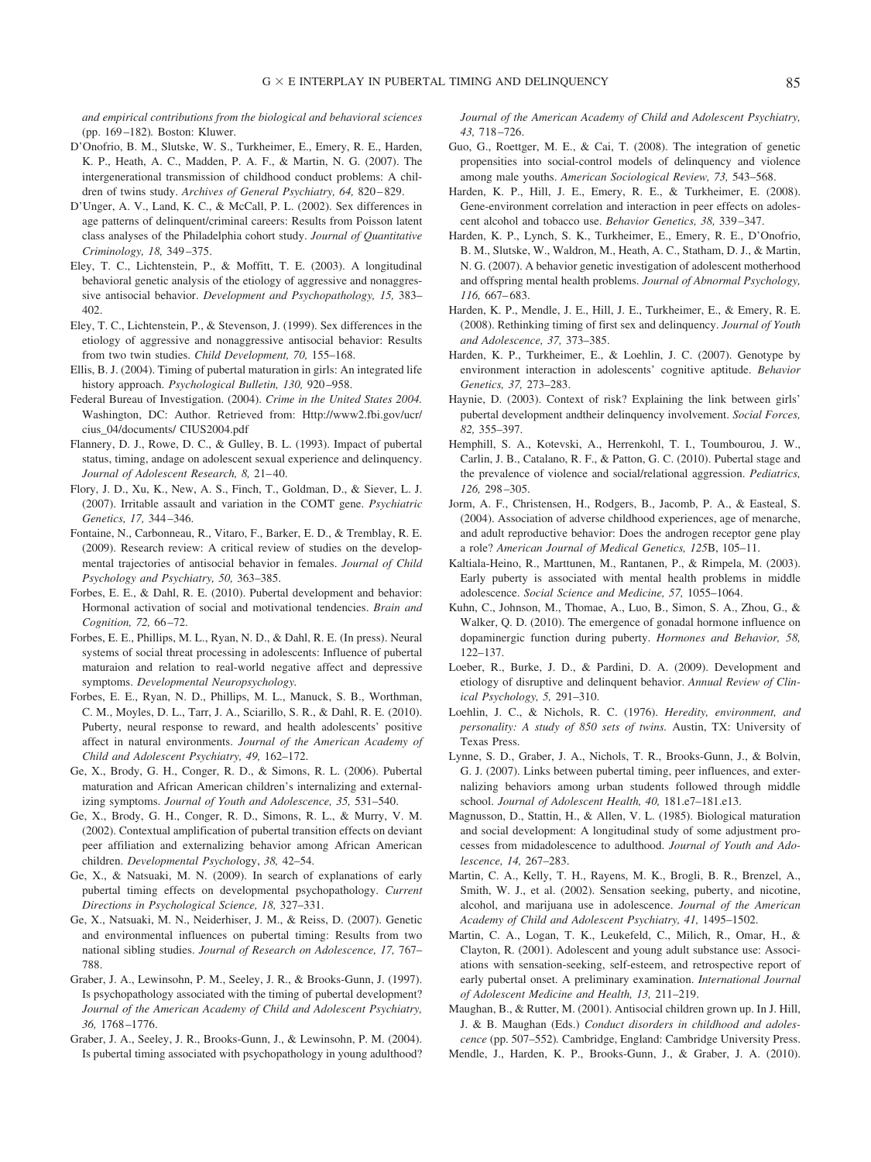*and empirical contributions from the biological and behavioral sciences* (pp. 169 –182)*.* Boston: Kluwer.

- D'Onofrio, B. M., Slutske, W. S., Turkheimer, E., Emery, R. E., Harden, K. P., Heath, A. C., Madden, P. A. F., & Martin, N. G. (2007). The intergenerational transmission of childhood conduct problems: A children of twins study. *Archives of General Psychiatry, 64, 820-829*.
- D'Unger, A. V., Land, K. C., & McCall, P. L. (2002). Sex differences in age patterns of delinquent/criminal careers: Results from Poisson latent class analyses of the Philadelphia cohort study. *Journal of Quantitative Criminology, 18,* 349 –375.
- Eley, T. C., Lichtenstein, P., & Moffitt, T. E. (2003). A longitudinal behavioral genetic analysis of the etiology of aggressive and nonaggressive antisocial behavior. *Development and Psychopathology, 15,* 383– 402.
- Eley, T. C., Lichtenstein, P., & Stevenson, J. (1999). Sex differences in the etiology of aggressive and nonaggressive antisocial behavior: Results from two twin studies. *Child Development, 70,* 155–168.
- Ellis, B. J. (2004). Timing of pubertal maturation in girls: An integrated life history approach. *Psychological Bulletin, 130,* 920 –958.
- Federal Bureau of Investigation. (2004). *Crime in the United States 2004.* Washington, DC: Author. Retrieved from: Http://www2.fbi.gov/ucr/ cius\_04/documents/ CIUS2004.pdf
- Flannery, D. J., Rowe, D. C., & Gulley, B. L. (1993). Impact of pubertal status, timing, andage on adolescent sexual experience and delinquency. *Journal of Adolescent Research, 8, 21–40.*
- Flory, J. D., Xu, K., New, A. S., Finch, T., Goldman, D., & Siever, L. J. (2007). Irritable assault and variation in the COMT gene. *Psychiatric Genetics, 17,* 344 –346.
- Fontaine, N., Carbonneau, R., Vitaro, F., Barker, E. D., & Tremblay, R. E. (2009). Research review: A critical review of studies on the developmental trajectories of antisocial behavior in females. *Journal of Child Psychology and Psychiatry, 50,* 363–385.
- Forbes, E. E., & Dahl, R. E. (2010). Pubertal development and behavior: Hormonal activation of social and motivational tendencies. *Brain and Cognition, 72,* 66 –72.
- Forbes, E. E., Phillips, M. L., Ryan, N. D., & Dahl, R. E. (In press). Neural systems of social threat processing in adolescents: Influence of pubertal maturaion and relation to real-world negative affect and depressive symptoms. *Developmental Neuropsychology.*
- Forbes, E. E., Ryan, N. D., Phillips, M. L., Manuck, S. B., Worthman, C. M., Moyles, D. L., Tarr, J. A., Sciarillo, S. R., & Dahl, R. E. (2010). Puberty, neural response to reward, and health adolescents' positive affect in natural environments. *Journal of the American Academy of Child and Adolescent Psychiatry, 49,* 162–172.
- Ge, X., Brody, G. H., Conger, R. D., & Simons, R. L. (2006). Pubertal maturation and African American children's internalizing and externalizing symptoms. *Journal of Youth and Adolescence, 35,* 531–540.
- Ge, X., Brody, G. H., Conger, R. D., Simons, R. L., & Murry, V. M. (2002). Contextual amplification of pubertal transition effects on deviant peer affiliation and externalizing behavior among African American children. *Developmental Psychol*ogy, *38,* 42–54.
- Ge, X., & Natsuaki, M. N. (2009). In search of explanations of early pubertal timing effects on developmental psychopathology. *Current Directions in Psychological Science, 18,* 327–331.
- Ge, X., Natsuaki, M. N., Neiderhiser, J. M., & Reiss, D. (2007). Genetic and environmental influences on pubertal timing: Results from two national sibling studies. *Journal of Research on Adolescence, 17,* 767– 788.
- Graber, J. A., Lewinsohn, P. M., Seeley, J. R., & Brooks-Gunn, J. (1997). Is psychopathology associated with the timing of pubertal development? *Journal of the American Academy of Child and Adolescent Psychiatry, 36,* 1768 –1776.
- Graber, J. A., Seeley, J. R., Brooks-Gunn, J., & Lewinsohn, P. M. (2004). Is pubertal timing associated with psychopathology in young adulthood?

*Journal of the American Academy of Child and Adolescent Psychiatry, 43,* 718 –726.

- Guo, G., Roettger, M. E., & Cai, T. (2008). The integration of genetic propensities into social-control models of delinquency and violence among male youths. *American Sociological Review, 73,* 543–568.
- Harden, K. P., Hill, J. E., Emery, R. E., & Turkheimer, E. (2008). Gene-environment correlation and interaction in peer effects on adolescent alcohol and tobacco use. *Behavior Genetics, 38,* 339 –347.
- Harden, K. P., Lynch, S. K., Turkheimer, E., Emery, R. E., D'Onofrio, B. M., Slutske, W., Waldron, M., Heath, A. C., Statham, D. J., & Martin, N. G. (2007). A behavior genetic investigation of adolescent motherhood and offspring mental health problems. *Journal of Abnormal Psychology, 116,* 667– 683.
- Harden, K. P., Mendle, J. E., Hill, J. E., Turkheimer, E., & Emery, R. E. (2008). Rethinking timing of first sex and delinquency. *Journal of Youth and Adolescence, 37,* 373–385.
- Harden, K. P., Turkheimer, E., & Loehlin, J. C. (2007). Genotype by environment interaction in adolescents' cognitive aptitude. *Behavior Genetics, 37,* 273–283.
- Haynie, D. (2003). Context of risk? Explaining the link between girls' pubertal development andtheir delinquency involvement. *Social Forces, 82,* 355–397.
- Hemphill, S. A., Kotevski, A., Herrenkohl, T. I., Toumbourou, J. W., Carlin, J. B., Catalano, R. F., & Patton, G. C. (2010). Pubertal stage and the prevalence of violence and social/relational aggression. *Pediatrics, 126,* 298 –305.
- Jorm, A. F., Christensen, H., Rodgers, B., Jacomb, P. A., & Easteal, S. (2004). Association of adverse childhood experiences, age of menarche, and adult reproductive behavior: Does the androgen receptor gene play a role? *American Journal of Medical Genetics, 125*B, 105–11.
- Kaltiala-Heino, R., Marttunen, M., Rantanen, P., & Rimpela, M. (2003). Early puberty is associated with mental health problems in middle adolescence. *Social Science and Medicine, 57,* 1055–1064.
- Kuhn, C., Johnson, M., Thomae, A., Luo, B., Simon, S. A., Zhou, G., & Walker, Q. D. (2010). The emergence of gonadal hormone influence on dopaminergic function during puberty. *Hormones and Behavior, 58,* 122–137.
- Loeber, R., Burke, J. D., & Pardini, D. A. (2009). Development and etiology of disruptive and delinquent behavior. *Annual Review of Clinical Psychology, 5,* 291–310.
- Loehlin, J. C., & Nichols, R. C. (1976). *Heredity, environment, and personality: A study of 850 sets of twins.* Austin, TX: University of Texas Press.
- Lynne, S. D., Graber, J. A., Nichols, T. R., Brooks-Gunn, J., & Bolvin, G. J. (2007). Links between pubertal timing, peer influences, and externalizing behaviors among urban students followed through middle school. *Journal of Adolescent Health, 40,* 181.e7–181.e13.
- Magnusson, D., Stattin, H., & Allen, V. L. (1985). Biological maturation and social development: A longitudinal study of some adjustment processes from midadolescence to adulthood. *Journal of Youth and Adolescence, 14,* 267–283.
- Martin, C. A., Kelly, T. H., Rayens, M. K., Brogli, B. R., Brenzel, A., Smith, W. J., et al. (2002). Sensation seeking, puberty, and nicotine, alcohol, and marijuana use in adolescence. *Journal of the American Academy of Child and Adolescent Psychiatry, 41,* 1495–1502.
- Martin, C. A., Logan, T. K., Leukefeld, C., Milich, R., Omar, H., & Clayton, R. (2001). Adolescent and young adult substance use: Associations with sensation-seeking, self-esteem, and retrospective report of early pubertal onset. A preliminary examination. *International Journal of Adolescent Medicine and Health, 13,* 211–219.

Maughan, B., & Rutter, M. (2001). Antisocial children grown up. In J. Hill, J. & B. Maughan (Eds.) *Conduct disorders in childhood and adoles-*

*cence* (pp. 507–552)*.* Cambridge, England: Cambridge University Press. Mendle, J., Harden, K. P., Brooks-Gunn, J., & Graber, J. A. (2010).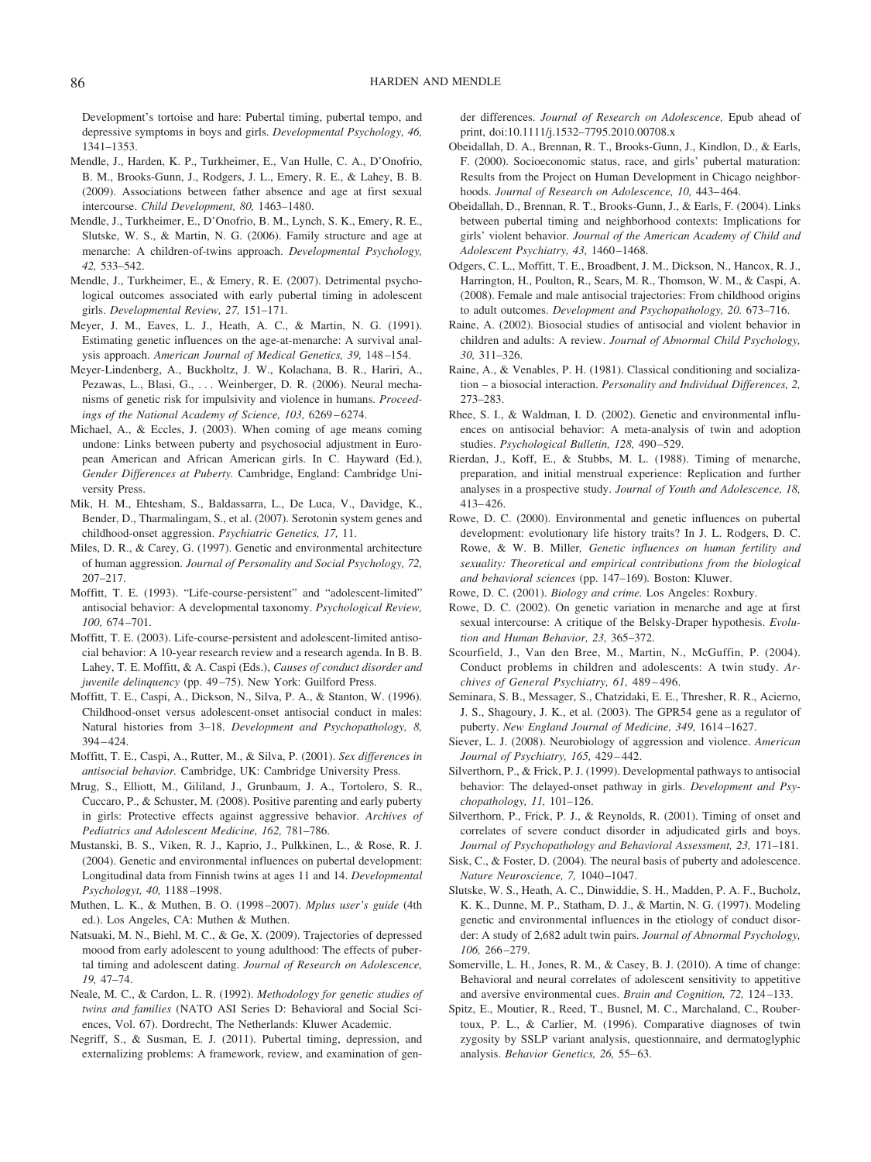Development's tortoise and hare: Pubertal timing, pubertal tempo, and depressive symptoms in boys and girls. *Developmental Psychology, 46,* 1341–1353.

- Mendle, J., Harden, K. P., Turkheimer, E., Van Hulle, C. A., D'Onofrio, B. M., Brooks-Gunn, J., Rodgers, J. L., Emery, R. E., & Lahey, B. B. (2009). Associations between father absence and age at first sexual intercourse. *Child Development, 80,* 1463–1480.
- Mendle, J., Turkheimer, E., D'Onofrio, B. M., Lynch, S. K., Emery, R. E., Slutske, W. S., & Martin, N. G. (2006). Family structure and age at menarche: A children-of-twins approach. *Developmental Psychology, 42,* 533–542.
- Mendle, J., Turkheimer, E., & Emery, R. E. (2007). Detrimental psychological outcomes associated with early pubertal timing in adolescent girls. *Developmental Review, 27,* 151–171.
- Meyer, J. M., Eaves, L. J., Heath, A. C., & Martin, N. G. (1991). Estimating genetic influences on the age-at-menarche: A survival analysis approach. *American Journal of Medical Genetics, 39,* 148 –154.
- Meyer-Lindenberg, A., Buckholtz, J. W., Kolachana, B. R., Hariri, A., Pezawas, L., Blasi, G., . . . Weinberger, D. R. (2006). Neural mechanisms of genetic risk for impulsivity and violence in humans. *Proceedings of the National Academy of Science, 103,* 6269 – 6274.
- Michael, A., & Eccles, J. (2003). When coming of age means coming undone: Links between puberty and psychosocial adjustment in European American and African American girls. In C. Hayward (Ed.), *Gender Differences at Puberty.* Cambridge, England: Cambridge University Press.
- Mik, H. M., Ehtesham, S., Baldassarra, L., De Luca, V., Davidge, K., Bender, D., Tharmalingam, S., et al. (2007). Serotonin system genes and childhood-onset aggression. *Psychiatric Genetics, 17,* 11.
- Miles, D. R., & Carey, G. (1997). Genetic and environmental architecture of human aggression. *Journal of Personality and Social Psychology, 72,* 207–217.
- Moffitt, T. E. (1993). "Life-course-persistent" and "adolescent-limited" antisocial behavior: A developmental taxonomy. *Psychological Review, 100,* 674 –701.
- Moffitt, T. E. (2003). Life-course-persistent and adolescent-limited antisocial behavior: A 10-year research review and a research agenda. In B. B. Lahey, T. E. Moffitt, & A. Caspi (Eds.), *Causes of conduct disorder and juvenile delinquency* (pp. 49 –75). New York: Guilford Press.
- Moffitt, T. E., Caspi, A., Dickson, N., Silva, P. A., & Stanton, W. (1996). Childhood-onset versus adolescent-onset antisocial conduct in males: Natural histories from 3–18. *Development and Psychopathology, 8,* 394 – 424.
- Moffitt, T. E., Caspi, A., Rutter, M., & Silva, P. (2001). *Sex differences in antisocial behavior.* Cambridge, UK: Cambridge University Press.
- Mrug, S., Elliott, M., Gililand, J., Grunbaum, J. A., Tortolero, S. R., Cuccaro, P., & Schuster, M. (2008). Positive parenting and early puberty in girls: Protective effects against aggressive behavior. *Archives of Pediatrics and Adolescent Medicine, 162,* 781–786.
- Mustanski, B. S., Viken, R. J., Kaprio, J., Pulkkinen, L., & Rose, R. J. (2004). Genetic and environmental influences on pubertal development: Longitudinal data from Finnish twins at ages 11 and 14. *Developmental Psychologyt, 40,* 1188 –1998.
- Muthen, L. K., & Muthen, B. O. (1998 –2007). *Mplus user's guide* (4th ed.). Los Angeles, CA: Muthen & Muthen.
- Natsuaki, M. N., Biehl, M. C., & Ge, X. (2009). Trajectories of depressed moood from early adolescent to young adulthood: The effects of pubertal timing and adolescent dating. *Journal of Research on Adolescence, 19,* 47–74.
- Neale, M. C., & Cardon, L. R. (1992). *Methodology for genetic studies of twins and families* (NATO ASI Series D: Behavioral and Social Sciences, Vol. 67). Dordrecht, The Netherlands: Kluwer Academic.
- Negriff, S., & Susman, E. J. (2011). Pubertal timing, depression, and externalizing problems: A framework, review, and examination of gen-

der differences. *Journal of Research on Adolescence,* Epub ahead of print, doi:10.1111/j.1532–7795.2010.00708.x

- Obeidallah, D. A., Brennan, R. T., Brooks-Gunn, J., Kindlon, D., & Earls, F. (2000). Socioeconomic status, race, and girls' pubertal maturation: Results from the Project on Human Development in Chicago neighborhoods. *Journal of Research on Adolescence, 10,* 443– 464.
- Obeidallah, D., Brennan, R. T., Brooks-Gunn, J., & Earls, F. (2004). Links between pubertal timing and neighborhood contexts: Implications for girls' violent behavior. *Journal of the American Academy of Child and Adolescent Psychiatry, 43,* 1460 –1468.
- Odgers, C. L., Moffitt, T. E., Broadbent, J. M., Dickson, N., Hancox, R. J., Harrington, H., Poulton, R., Sears, M. R., Thomson, W. M., & Caspi, A. (2008). Female and male antisocial trajectories: From childhood origins to adult outcomes. *Development and Psychopathology, 20.* 673–716.
- Raine, A. (2002). Biosocial studies of antisocial and violent behavior in children and adults: A review. *Journal of Abnormal Child Psychology, 30,* 311–326.
- Raine, A., & Venables, P. H. (1981). Classical conditioning and socialization – a biosocial interaction. *Personality and Individual Differences, 2,* 273–283.
- Rhee, S. I., & Waldman, I. D. (2002). Genetic and environmental influences on antisocial behavior: A meta-analysis of twin and adoption studies. *Psychological Bulletin, 128,* 490 –529.
- Rierdan, J., Koff, E., & Stubbs, M. L. (1988). Timing of menarche, preparation, and initial menstrual experience: Replication and further analyses in a prospective study. *Journal of Youth and Adolescence, 18,* 413– 426.
- Rowe, D. C. (2000). Environmental and genetic influences on pubertal development: evolutionary life history traits? In J. L. Rodgers, D. C. Rowe, & W. B. Miller*, Genetic influences on human fertility and sexuality: Theoretical and empirical contributions from the biological and behavioral sciences* (pp. 147–169)*.* Boston: Kluwer.
- Rowe, D. C. (2001). *Biology and crime.* Los Angeles: Roxbury.
- Rowe, D. C. (2002). On genetic variation in menarche and age at first sexual intercourse: A critique of the Belsky-Draper hypothesis. *Evolution and Human Behavior, 23,* 365–372.
- Scourfield, J., Van den Bree, M., Martin, N., McGuffin, P. (2004). Conduct problems in children and adolescents: A twin study. *Archives of General Psychiatry, 61,* 489 – 496.
- Seminara, S. B., Messager, S., Chatzidaki, E. E., Thresher, R. R., Acierno, J. S., Shagoury, J. K., et al. (2003). The GPR54 gene as a regulator of puberty. *New England Journal of Medicine, 349,* 1614 –1627.
- Siever, L. J. (2008). Neurobiology of aggression and violence. *American Journal of Psychiatry, 165,* 429 – 442.
- Silverthorn, P., & Frick, P. J. (1999). Developmental pathways to antisocial behavior: The delayed-onset pathway in girls. *Development and Psychopathology, 11,* 101–126.
- Silverthorn, P., Frick, P. J., & Reynolds, R. (2001). Timing of onset and correlates of severe conduct disorder in adjudicated girls and boys. *Journal of Psychopathology and Behavioral Assessment, 23,* 171–181.
- Sisk, C., & Foster, D. (2004). The neural basis of puberty and adolescence. *Nature Neuroscience, 7,* 1040 –1047.
- Slutske, W. S., Heath, A. C., Dinwiddie, S. H., Madden, P. A. F., Bucholz, K. K., Dunne, M. P., Statham, D. J., & Martin, N. G. (1997). Modeling genetic and environmental influences in the etiology of conduct disorder: A study of 2,682 adult twin pairs. *Journal of Abnormal Psychology, 106,* 266 –279.
- Somerville, L. H., Jones, R. M., & Casey, B. J. (2010). A time of change: Behavioral and neural correlates of adolescent sensitivity to appetitive and aversive environmental cues. *Brain and Cognition, 72,* 124 –133.
- Spitz, E., Moutier, R., Reed, T., Busnel, M. C., Marchaland, C., Roubertoux, P. L., & Carlier, M. (1996). Comparative diagnoses of twin zygosity by SSLP variant analysis, questionnaire, and dermatoglyphic analysis. *Behavior Genetics, 26,* 55– 63.